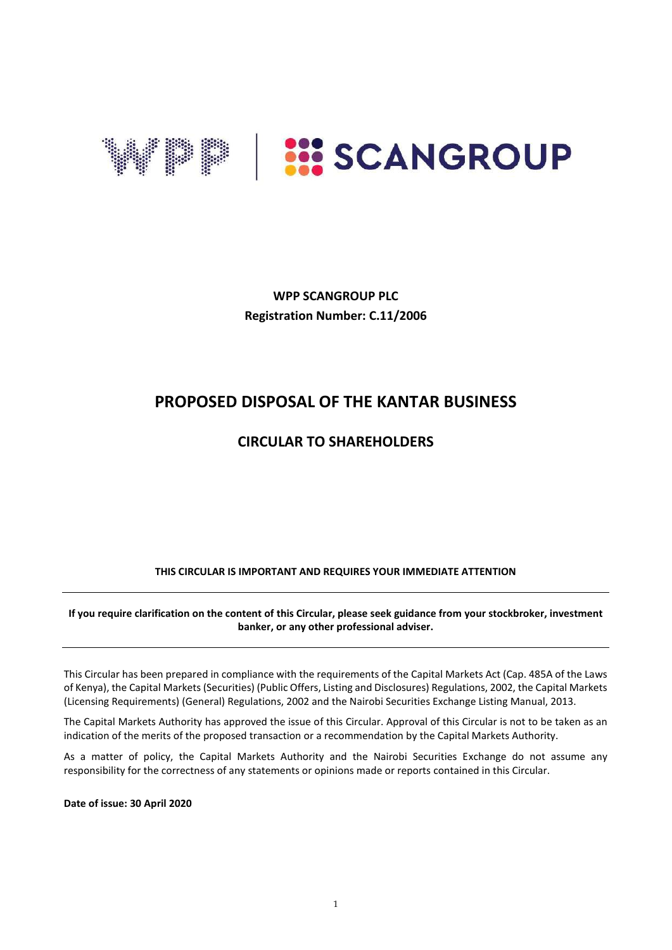

**WPP SCANGROUP PLC Registration Number: C.11/2006**

# **PROPOSED DISPOSAL OF THE KANTAR BUSINESS**

## **CIRCULAR TO SHAREHOLDERS**

### **THIS CIRCULAR IS IMPORTANT AND REQUIRES YOUR IMMEDIATE ATTENTION**

**If you require clarification on the content of this Circular, please seek guidance from your stockbroker, investment banker, or any other professional adviser.** 

This Circular has been prepared in compliance with the requirements of the Capital Markets Act (Cap. 485A of the Laws of Kenya), the Capital Markets (Securities) (Public Offers, Listing and Disclosures) Regulations, 2002, the Capital Markets (Licensing Requirements) (General) Regulations, 2002 and the Nairobi Securities Exchange Listing Manual, 2013.

The Capital Markets Authority has approved the issue of this Circular. Approval of this Circular is not to be taken as an indication of the merits of the proposed transaction or a recommendation by the Capital Markets Authority.

As a matter of policy, the Capital Markets Authority and the Nairobi Securities Exchange do not assume any responsibility for the correctness of any statements or opinions made or reports contained in this Circular.

**Date of issue: 30 April 2020**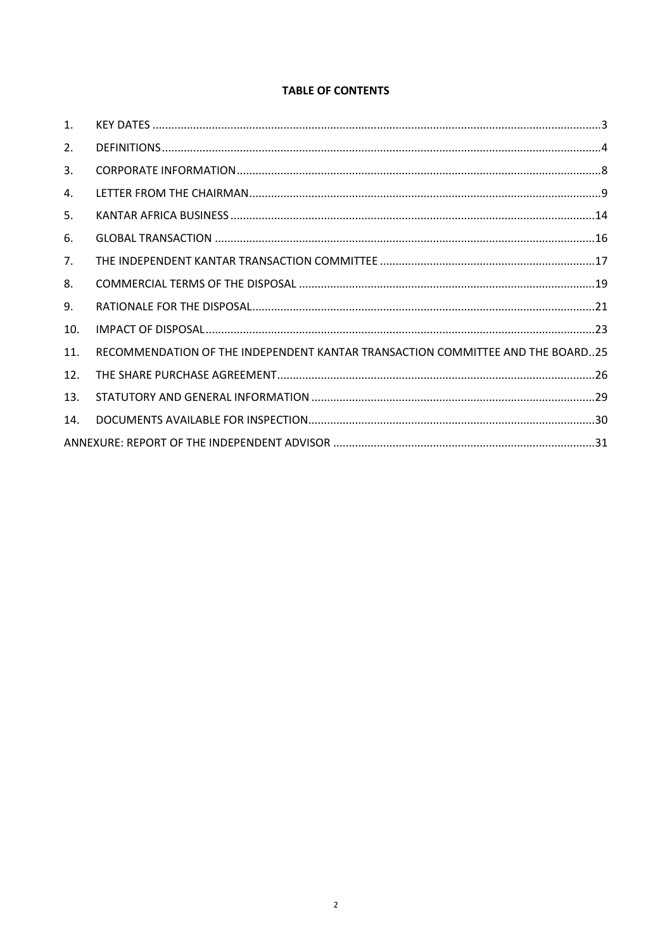### **TABLE OF CONTENTS**

| 1.  |                                                                                |  |
|-----|--------------------------------------------------------------------------------|--|
| 2.  |                                                                                |  |
| 3.  |                                                                                |  |
| 4.  |                                                                                |  |
| 5.  |                                                                                |  |
| 6.  |                                                                                |  |
| 7.  |                                                                                |  |
| 8.  |                                                                                |  |
| 9.  |                                                                                |  |
| 10. |                                                                                |  |
| 11. | RECOMMENDATION OF THE INDEPENDENT KANTAR TRANSACTION COMMITTEE AND THE BOARD25 |  |
| 12. |                                                                                |  |
| 13. |                                                                                |  |
| 14. |                                                                                |  |
|     |                                                                                |  |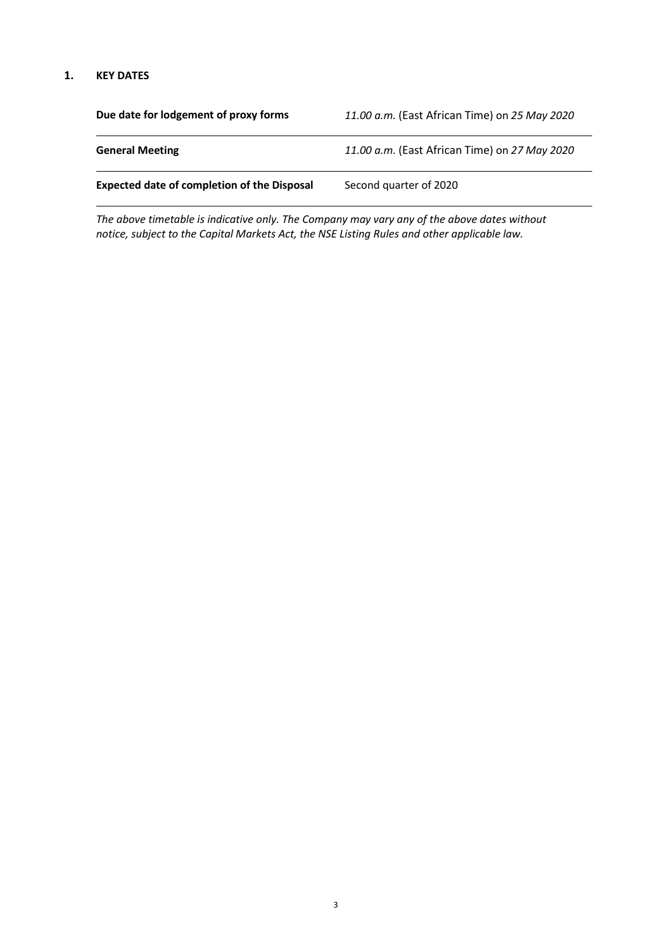#### <span id="page-2-0"></span>**1. KEY DATES**

| Due date for lodgement of proxy forms              | 11.00 a.m. (East African Time) on 25 May 2020 |
|----------------------------------------------------|-----------------------------------------------|
| <b>General Meeting</b>                             | 11.00 a.m. (East African Time) on 27 May 2020 |
| <b>Expected date of completion of the Disposal</b> | Second quarter of 2020                        |

*The above timetable is indicative only. The Company may vary any of the above dates without notice, subject to the Capital Markets Act, the NSE Listing Rules and other applicable law.*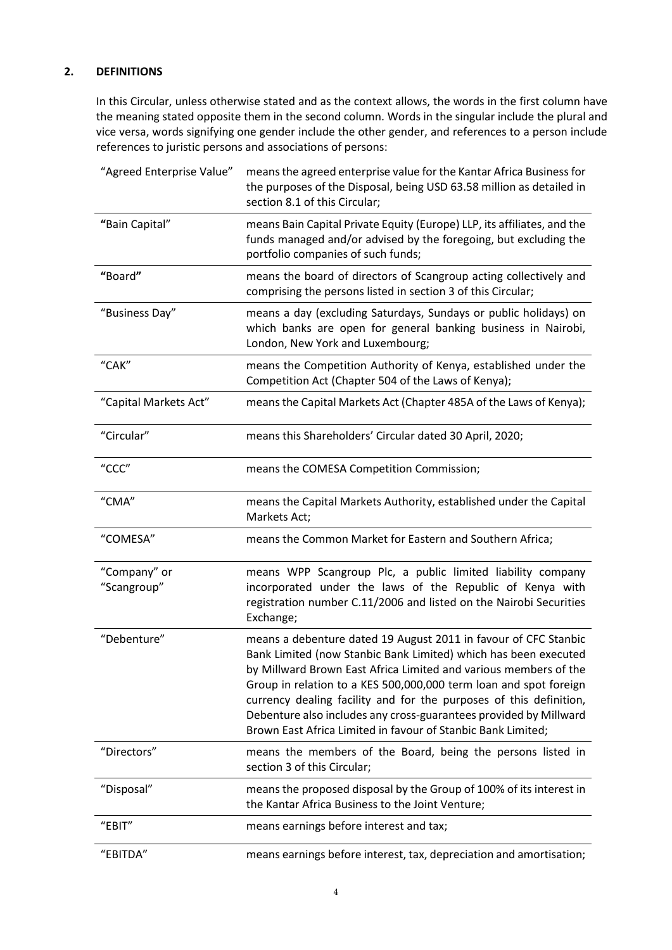## <span id="page-3-0"></span>**2. DEFINITIONS**

In this Circular, unless otherwise stated and as the context allows, the words in the first column have the meaning stated opposite them in the second column. Words in the singular include the plural and vice versa, words signifying one gender include the other gender, and references to a person include references to juristic persons and associations of persons:

| "Agreed Enterprise Value"   | means the agreed enterprise value for the Kantar Africa Business for<br>the purposes of the Disposal, being USD 63.58 million as detailed in<br>section 8.1 of this Circular;                                                                                                                                                                                                                                                                                                          |
|-----------------------------|----------------------------------------------------------------------------------------------------------------------------------------------------------------------------------------------------------------------------------------------------------------------------------------------------------------------------------------------------------------------------------------------------------------------------------------------------------------------------------------|
| "Bain Capital"              | means Bain Capital Private Equity (Europe) LLP, its affiliates, and the<br>funds managed and/or advised by the foregoing, but excluding the<br>portfolio companies of such funds;                                                                                                                                                                                                                                                                                                      |
| "Board"                     | means the board of directors of Scangroup acting collectively and<br>comprising the persons listed in section 3 of this Circular;                                                                                                                                                                                                                                                                                                                                                      |
| "Business Day"              | means a day (excluding Saturdays, Sundays or public holidays) on<br>which banks are open for general banking business in Nairobi,<br>London, New York and Luxembourg;                                                                                                                                                                                                                                                                                                                  |
| "CAK"                       | means the Competition Authority of Kenya, established under the<br>Competition Act (Chapter 504 of the Laws of Kenya);                                                                                                                                                                                                                                                                                                                                                                 |
| "Capital Markets Act"       | means the Capital Markets Act (Chapter 485A of the Laws of Kenya);                                                                                                                                                                                                                                                                                                                                                                                                                     |
| "Circular"                  | means this Shareholders' Circular dated 30 April, 2020;                                                                                                                                                                                                                                                                                                                                                                                                                                |
| "CCC"                       | means the COMESA Competition Commission;                                                                                                                                                                                                                                                                                                                                                                                                                                               |
| "CMA"                       | means the Capital Markets Authority, established under the Capital<br>Markets Act;                                                                                                                                                                                                                                                                                                                                                                                                     |
| "COMESA"                    | means the Common Market for Eastern and Southern Africa;                                                                                                                                                                                                                                                                                                                                                                                                                               |
| "Company" or<br>"Scangroup" | means WPP Scangroup Plc, a public limited liability company<br>incorporated under the laws of the Republic of Kenya with<br>registration number C.11/2006 and listed on the Nairobi Securities<br>Exchange;                                                                                                                                                                                                                                                                            |
| "Debenture"                 | means a debenture dated 19 August 2011 in favour of CFC Stanbic<br>Bank Limited (now Stanbic Bank Limited) which has been executed<br>by Millward Brown East Africa Limited and various members of the<br>Group in relation to a KES 500,000,000 term loan and spot foreign<br>currency dealing facility and for the purposes of this definition,<br>Debenture also includes any cross-guarantees provided by Millward<br>Brown East Africa Limited in favour of Stanbic Bank Limited; |
| "Directors"                 | means the members of the Board, being the persons listed in<br>section 3 of this Circular;                                                                                                                                                                                                                                                                                                                                                                                             |
| "Disposal"                  | means the proposed disposal by the Group of 100% of its interest in<br>the Kantar Africa Business to the Joint Venture;                                                                                                                                                                                                                                                                                                                                                                |
| "EBIT"                      | means earnings before interest and tax;                                                                                                                                                                                                                                                                                                                                                                                                                                                |
| "EBITDA"                    | means earnings before interest, tax, depreciation and amortisation;                                                                                                                                                                                                                                                                                                                                                                                                                    |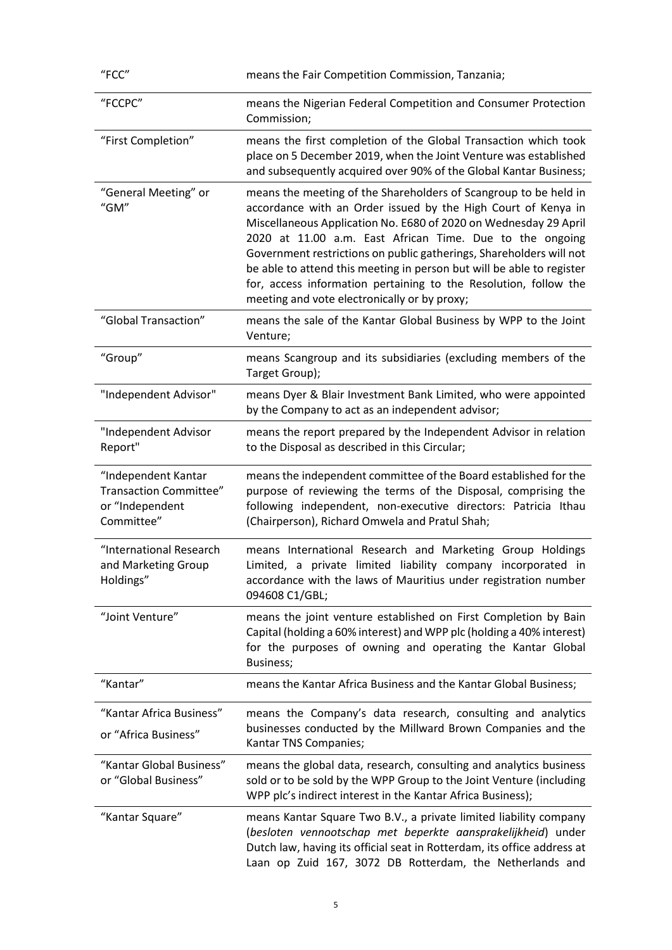| "FCC"                                                                                 | means the Fair Competition Commission, Tanzania;                                                                                                                                                                                                                                                                                                                                                                                                                                                                                      |
|---------------------------------------------------------------------------------------|---------------------------------------------------------------------------------------------------------------------------------------------------------------------------------------------------------------------------------------------------------------------------------------------------------------------------------------------------------------------------------------------------------------------------------------------------------------------------------------------------------------------------------------|
| "FCCPC"                                                                               | means the Nigerian Federal Competition and Consumer Protection<br>Commission;                                                                                                                                                                                                                                                                                                                                                                                                                                                         |
| "First Completion"                                                                    | means the first completion of the Global Transaction which took<br>place on 5 December 2019, when the Joint Venture was established<br>and subsequently acquired over 90% of the Global Kantar Business;                                                                                                                                                                                                                                                                                                                              |
| "General Meeting" or<br>"GM"                                                          | means the meeting of the Shareholders of Scangroup to be held in<br>accordance with an Order issued by the High Court of Kenya in<br>Miscellaneous Application No. E680 of 2020 on Wednesday 29 April<br>2020 at 11.00 a.m. East African Time. Due to the ongoing<br>Government restrictions on public gatherings, Shareholders will not<br>be able to attend this meeting in person but will be able to register<br>for, access information pertaining to the Resolution, follow the<br>meeting and vote electronically or by proxy; |
| "Global Transaction"                                                                  | means the sale of the Kantar Global Business by WPP to the Joint<br>Venture;                                                                                                                                                                                                                                                                                                                                                                                                                                                          |
| "Group"                                                                               | means Scangroup and its subsidiaries (excluding members of the<br>Target Group);                                                                                                                                                                                                                                                                                                                                                                                                                                                      |
| "Independent Advisor"                                                                 | means Dyer & Blair Investment Bank Limited, who were appointed<br>by the Company to act as an independent advisor;                                                                                                                                                                                                                                                                                                                                                                                                                    |
| "Independent Advisor<br>Report"                                                       | means the report prepared by the Independent Advisor in relation<br>to the Disposal as described in this Circular;                                                                                                                                                                                                                                                                                                                                                                                                                    |
| "Independent Kantar<br><b>Transaction Committee"</b><br>or "Independent<br>Committee" | means the independent committee of the Board established for the<br>purpose of reviewing the terms of the Disposal, comprising the<br>following independent, non-executive directors: Patricia Ithau<br>(Chairperson), Richard Omwela and Pratul Shah;                                                                                                                                                                                                                                                                                |
| "International Research<br>and Marketing Group<br>Holdings"                           | means International Research and Marketing Group Holdings<br>Limited, a private limited liability company incorporated in<br>accordance with the laws of Mauritius under registration number<br>094608 C1/GBL;                                                                                                                                                                                                                                                                                                                        |
| "Joint Venture"                                                                       | means the joint venture established on First Completion by Bain<br>Capital (holding a 60% interest) and WPP plc (holding a 40% interest)<br>for the purposes of owning and operating the Kantar Global<br>Business;                                                                                                                                                                                                                                                                                                                   |
| "Kantar"                                                                              | means the Kantar Africa Business and the Kantar Global Business;                                                                                                                                                                                                                                                                                                                                                                                                                                                                      |
| "Kantar Africa Business"<br>or "Africa Business"                                      | means the Company's data research, consulting and analytics<br>businesses conducted by the Millward Brown Companies and the<br>Kantar TNS Companies;                                                                                                                                                                                                                                                                                                                                                                                  |
| "Kantar Global Business"<br>or "Global Business"                                      | means the global data, research, consulting and analytics business<br>sold or to be sold by the WPP Group to the Joint Venture (including<br>WPP plc's indirect interest in the Kantar Africa Business);                                                                                                                                                                                                                                                                                                                              |
| "Kantar Square"                                                                       | means Kantar Square Two B.V., a private limited liability company<br>(besloten vennootschap met beperkte aansprakelijkheid) under<br>Dutch law, having its official seat in Rotterdam, its office address at<br>Laan op Zuid 167, 3072 DB Rotterdam, the Netherlands and                                                                                                                                                                                                                                                              |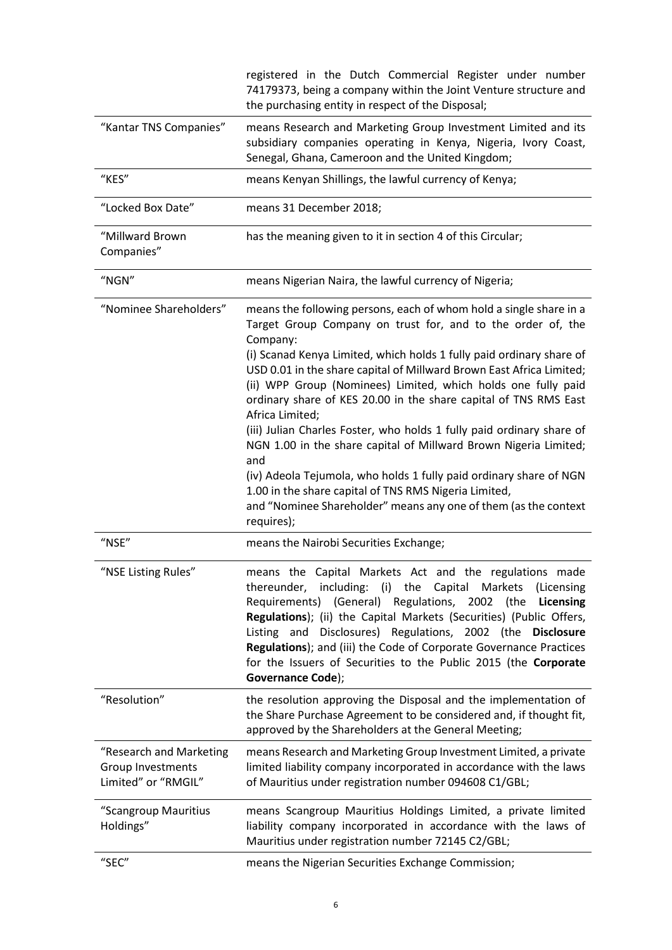|                                                                     | registered in the Dutch Commercial Register under number<br>74179373, being a company within the Joint Venture structure and<br>the purchasing entity in respect of the Disposal;                                                                                                                                                                                                                                                                                                            |
|---------------------------------------------------------------------|----------------------------------------------------------------------------------------------------------------------------------------------------------------------------------------------------------------------------------------------------------------------------------------------------------------------------------------------------------------------------------------------------------------------------------------------------------------------------------------------|
| "Kantar TNS Companies"                                              | means Research and Marketing Group Investment Limited and its<br>subsidiary companies operating in Kenya, Nigeria, Ivory Coast,<br>Senegal, Ghana, Cameroon and the United Kingdom;                                                                                                                                                                                                                                                                                                          |
| "KES"                                                               | means Kenyan Shillings, the lawful currency of Kenya;                                                                                                                                                                                                                                                                                                                                                                                                                                        |
| "Locked Box Date"                                                   | means 31 December 2018;                                                                                                                                                                                                                                                                                                                                                                                                                                                                      |
| "Millward Brown<br>Companies"                                       | has the meaning given to it in section 4 of this Circular;                                                                                                                                                                                                                                                                                                                                                                                                                                   |
| "NGN"                                                               | means Nigerian Naira, the lawful currency of Nigeria;                                                                                                                                                                                                                                                                                                                                                                                                                                        |
| "Nominee Shareholders"                                              | means the following persons, each of whom hold a single share in a<br>Target Group Company on trust for, and to the order of, the<br>Company:<br>(i) Scanad Kenya Limited, which holds 1 fully paid ordinary share of                                                                                                                                                                                                                                                                        |
|                                                                     | USD 0.01 in the share capital of Millward Brown East Africa Limited;<br>(ii) WPP Group (Nominees) Limited, which holds one fully paid<br>ordinary share of KES 20.00 in the share capital of TNS RMS East<br>Africa Limited;                                                                                                                                                                                                                                                                 |
|                                                                     | (iii) Julian Charles Foster, who holds 1 fully paid ordinary share of<br>NGN 1.00 in the share capital of Millward Brown Nigeria Limited;<br>and                                                                                                                                                                                                                                                                                                                                             |
|                                                                     | (iv) Adeola Tejumola, who holds 1 fully paid ordinary share of NGN<br>1.00 in the share capital of TNS RMS Nigeria Limited,<br>and "Nominee Shareholder" means any one of them (as the context<br>requires);                                                                                                                                                                                                                                                                                 |
| $"$ NSE $"$                                                         | means the Nairobi Securities Exchange;                                                                                                                                                                                                                                                                                                                                                                                                                                                       |
| "NSE Listing Rules"                                                 | means the Capital Markets Act and the regulations made<br>thereunder, including: (i) the Capital Markets (Licensing<br>Requirements) (General) Regulations, 2002 (the<br>Licensing<br>Regulations); (ii) the Capital Markets (Securities) (Public Offers,<br>Listing and Disclosures) Regulations, 2002 (the Disclosure<br>Regulations); and (iii) the Code of Corporate Governance Practices<br>for the Issuers of Securities to the Public 2015 (the Corporate<br><b>Governance Code);</b> |
| "Resolution"                                                        | the resolution approving the Disposal and the implementation of<br>the Share Purchase Agreement to be considered and, if thought fit,<br>approved by the Shareholders at the General Meeting;                                                                                                                                                                                                                                                                                                |
| "Research and Marketing<br>Group Investments<br>Limited" or "RMGIL" | means Research and Marketing Group Investment Limited, a private<br>limited liability company incorporated in accordance with the laws<br>of Mauritius under registration number 094608 C1/GBL;                                                                                                                                                                                                                                                                                              |
| "Scangroup Mauritius<br>Holdings"                                   | means Scangroup Mauritius Holdings Limited, a private limited<br>liability company incorporated in accordance with the laws of<br>Mauritius under registration number 72145 C2/GBL;                                                                                                                                                                                                                                                                                                          |
| "SEC"                                                               | means the Nigerian Securities Exchange Commission;                                                                                                                                                                                                                                                                                                                                                                                                                                           |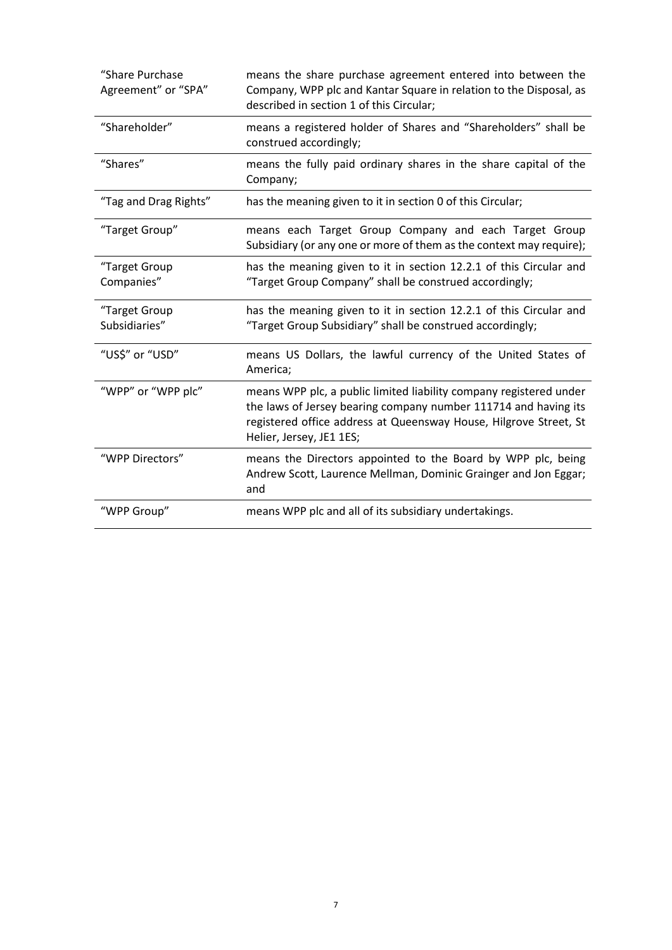| "Share Purchase<br>Agreement" or "SPA" | means the share purchase agreement entered into between the<br>Company, WPP plc and Kantar Square in relation to the Disposal, as<br>described in section 1 of this Circular;                                                          |
|----------------------------------------|----------------------------------------------------------------------------------------------------------------------------------------------------------------------------------------------------------------------------------------|
| "Shareholder"                          | means a registered holder of Shares and "Shareholders" shall be<br>construed accordingly;                                                                                                                                              |
| "Shares"                               | means the fully paid ordinary shares in the share capital of the<br>Company;                                                                                                                                                           |
| "Tag and Drag Rights"                  | has the meaning given to it in section 0 of this Circular;                                                                                                                                                                             |
| "Target Group"                         | means each Target Group Company and each Target Group<br>Subsidiary (or any one or more of them as the context may require);                                                                                                           |
| "Target Group<br>Companies"            | has the meaning given to it in section 12.2.1 of this Circular and<br>"Target Group Company" shall be construed accordingly;                                                                                                           |
| "Target Group<br>Subsidiaries"         | has the meaning given to it in section 12.2.1 of this Circular and<br>"Target Group Subsidiary" shall be construed accordingly;                                                                                                        |
| "US\$" or "USD"                        | means US Dollars, the lawful currency of the United States of<br>America;                                                                                                                                                              |
| "WPP" or "WPP plc"                     | means WPP plc, a public limited liability company registered under<br>the laws of Jersey bearing company number 111714 and having its<br>registered office address at Queensway House, Hilgrove Street, St<br>Helier, Jersey, JE1 1ES; |
| "WPP Directors"                        | means the Directors appointed to the Board by WPP plc, being<br>Andrew Scott, Laurence Mellman, Dominic Grainger and Jon Eggar;<br>and                                                                                                 |
| "WPP Group"                            | means WPP plc and all of its subsidiary undertakings.                                                                                                                                                                                  |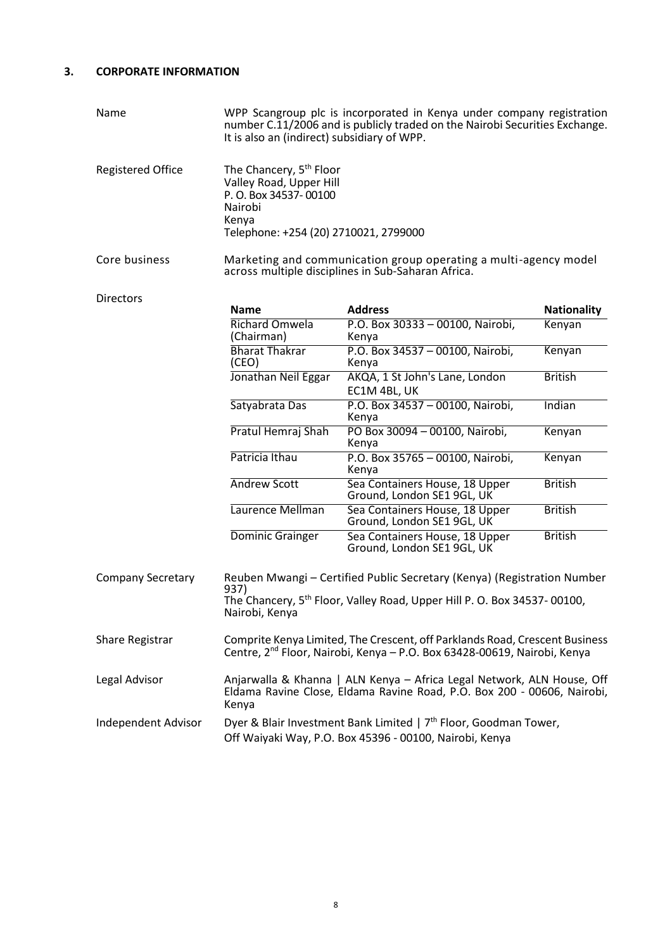## <span id="page-7-0"></span>**3. CORPORATE INFORMATION**

| Name                       | WPP Scangroup plc is incorporated in Kenya under company registration<br>number C.11/2006 and is publicly traded on the Nairobi Securities Exchange.<br>It is also an (indirect) subsidiary of WPP. |                                                              |                    |  |
|----------------------------|-----------------------------------------------------------------------------------------------------------------------------------------------------------------------------------------------------|--------------------------------------------------------------|--------------------|--|
| <b>Registered Office</b>   | The Chancery, 5 <sup>th</sup> Floor<br>Valley Road, Upper Hill<br>P. O. Box 34537-00100<br>Nairobi<br>Kenya<br>Telephone: +254 (20) 2710021, 2799000                                                |                                                              |                    |  |
| Core business              | Marketing and communication group operating a multi-agency model<br>across multiple disciplines in Sub-Saharan Africa.                                                                              |                                                              |                    |  |
| <b>Directors</b>           | <b>Name</b>                                                                                                                                                                                         | <b>Address</b>                                               | <b>Nationality</b> |  |
|                            | Richard Omwela<br>(Chairman)                                                                                                                                                                        | P.O. Box 30333 - 00100, Nairobi,<br>Kenya                    | Kenyan             |  |
|                            | <b>Bharat Thakrar</b><br>(CEO)                                                                                                                                                                      | P.O. Box 34537 - 00100, Nairobi,<br>Kenya                    | Kenyan             |  |
|                            | Jonathan Neil Eggar                                                                                                                                                                                 | AKQA, 1 St John's Lane, London<br>EC1M 4BL, UK               | <b>British</b>     |  |
|                            | Satyabrata Das                                                                                                                                                                                      | P.O. Box 34537 - 00100, Nairobi,<br>Kenya                    | Indian             |  |
|                            | Pratul Hemraj Shah                                                                                                                                                                                  | PO Box 30094 - 00100, Nairobi,<br>Kenya                      | Kenyan             |  |
|                            | Patricia Ithau                                                                                                                                                                                      | P.O. Box 35765 - 00100, Nairobi,<br>Kenya                    | Kenyan             |  |
|                            | <b>Andrew Scott</b>                                                                                                                                                                                 | Sea Containers House, 18 Upper<br>Ground, London SE1 9GL, UK | <b>British</b>     |  |
|                            | Laurence Mellman                                                                                                                                                                                    | Sea Containers House, 18 Upper<br>Ground, London SE1 9GL, UK | <b>British</b>     |  |
|                            | Dominic Grainger                                                                                                                                                                                    | Sea Containers House, 18 Upper<br>Ground, London SE1 9GL, UK | <b>British</b>     |  |
| <b>Company Secretary</b>   | Reuben Mwangi - Certified Public Secretary (Kenya) (Registration Number<br>937)<br>The Chancery, 5 <sup>th</sup> Floor, Valley Road, Upper Hill P. O. Box 34537-00100,<br>Nairobi, Kenya            |                                                              |                    |  |
| <b>Share Registrar</b>     | Comprite Kenya Limited, The Crescent, off Parklands Road, Crescent Business<br>Centre, 2 <sup>nd</sup> Floor, Nairobi, Kenya – P.O. Box 63428-00619, Nairobi, Kenya                                 |                                                              |                    |  |
| Legal Advisor              | Anjarwalla & Khanna   ALN Kenya - Africa Legal Network, ALN House, Off<br>Eldama Ravine Close, Eldama Ravine Road, P.O. Box 200 - 00606, Nairobi,<br>Kenya                                          |                                                              |                    |  |
| <b>Independent Advisor</b> | Dyer & Blair Investment Bank Limited   7 <sup>th</sup> Floor, Goodman Tower,<br>Off Waiyaki Way, P.O. Box 45396 - 00100, Nairobi, Kenya                                                             |                                                              |                    |  |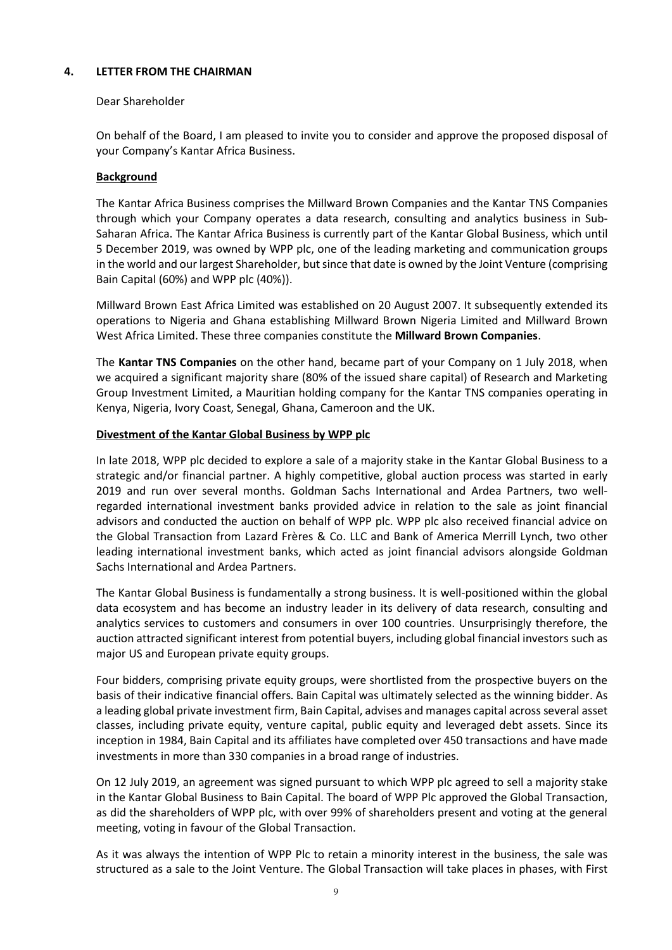#### <span id="page-8-0"></span>**4. LETTER FROM THE CHAIRMAN**

#### Dear Shareholder

On behalf of the Board, I am pleased to invite you to consider and approve the proposed disposal of your Company's Kantar Africa Business.

#### **Background**

The Kantar Africa Business comprises the Millward Brown Companies and the Kantar TNS Companies through which your Company operates a data research, consulting and analytics business in Sub-Saharan Africa. The Kantar Africa Business is currently part of the Kantar Global Business, which until 5 December 2019, was owned by WPP plc, one of the leading marketing and communication groups in the world and our largest Shareholder, but since that date is owned by the Joint Venture (comprising Bain Capital (60%) and WPP plc (40%)).

Millward Brown East Africa Limited was established on 20 August 2007. It subsequently extended its operations to Nigeria and Ghana establishing Millward Brown Nigeria Limited and Millward Brown West Africa Limited. These three companies constitute the **Millward Brown Companies**.

The **Kantar TNS Companies** on the other hand, became part of your Company on 1 July 2018, when we acquired a significant majority share (80% of the issued share capital) of Research and Marketing Group Investment Limited, a Mauritian holding company for the Kantar TNS companies operating in Kenya, Nigeria, Ivory Coast, Senegal, Ghana, Cameroon and the UK.

#### **Divestment of the Kantar Global Business by WPP plc**

In late 2018, WPP plc decided to explore a sale of a majority stake in the Kantar Global Business to a strategic and/or financial partner. A highly competitive, global auction process was started in early 2019 and run over several months. Goldman Sachs International and Ardea Partners, two wellregarded international investment banks provided advice in relation to the sale as joint financial advisors and conducted the auction on behalf of WPP plc. WPP plc also received financial advice on the Global Transaction from Lazard Frères & Co. LLC and Bank of America Merrill Lynch, two other leading international investment banks, which acted as joint financial advisors alongside Goldman Sachs International and Ardea Partners.

The Kantar Global Business is fundamentally a strong business. It is well-positioned within the global data ecosystem and has become an industry leader in its delivery of data research, consulting and analytics services to customers and consumers in over 100 countries. Unsurprisingly therefore, the auction attracted significant interest from potential buyers, including global financial investors such as major US and European private equity groups.

Four bidders, comprising private equity groups, were shortlisted from the prospective buyers on the basis of their indicative financial offers**.** Bain Capital was ultimately selected as the winning bidder. As a leading global private investment firm, Bain Capital, advises and manages capital across several asset classes, including private equity, venture capital, public equity and leveraged debt assets. Since its inception in 1984, Bain Capital and its affiliates have completed over 450 transactions and have made investments in more than 330 companies in a broad range of industries.

On 12 July 2019, an agreement was signed pursuant to which WPP plc agreed to sell a majority stake in the Kantar Global Business to Bain Capital. The board of WPP Plc approved the Global Transaction, as did the shareholders of WPP plc, with over 99% of shareholders present and voting at the general meeting, voting in favour of the Global Transaction.

As it was always the intention of WPP Plc to retain a minority interest in the business, the sale was structured as a sale to the Joint Venture. The Global Transaction will take places in phases, with First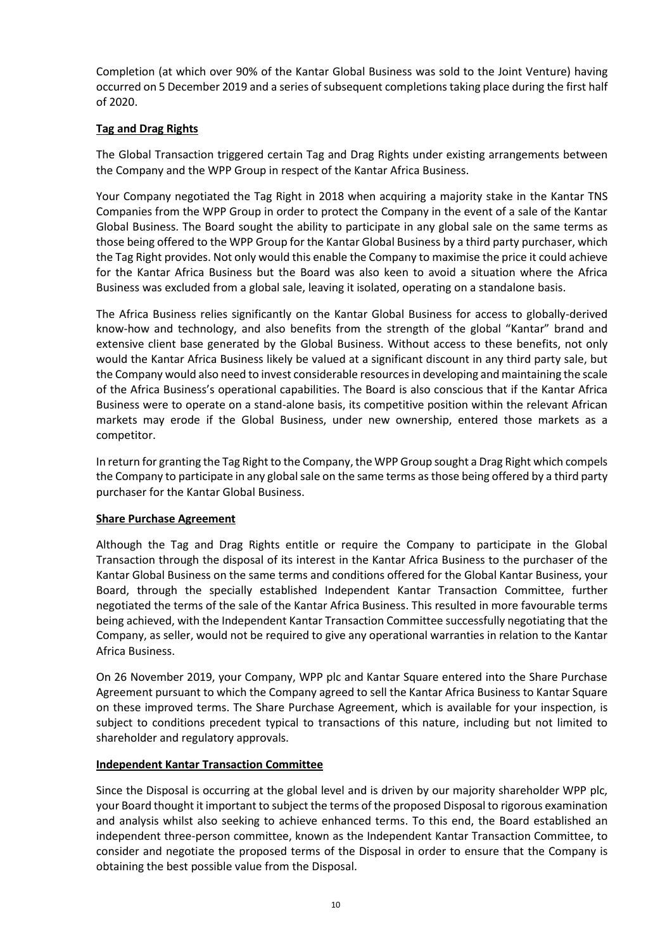Completion (at which over 90% of the Kantar Global Business was sold to the Joint Venture) having occurred on 5 December 2019 and a series of subsequent completions taking place during the first half of 2020.

#### **Tag and Drag Rights**

The Global Transaction triggered certain Tag and Drag Rights under existing arrangements between the Company and the WPP Group in respect of the Kantar Africa Business.

Your Company negotiated the Tag Right in 2018 when acquiring a majority stake in the Kantar TNS Companies from the WPP Group in order to protect the Company in the event of a sale of the Kantar Global Business. The Board sought the ability to participate in any global sale on the same terms as those being offered to the WPP Group for the Kantar Global Business by a third party purchaser, which the Tag Right provides. Not only would this enable the Company to maximise the price it could achieve for the Kantar Africa Business but the Board was also keen to avoid a situation where the Africa Business was excluded from a global sale, leaving it isolated, operating on a standalone basis.

The Africa Business relies significantly on the Kantar Global Business for access to globally-derived know-how and technology, and also benefits from the strength of the global "Kantar" brand and extensive client base generated by the Global Business. Without access to these benefits, not only would the Kantar Africa Business likely be valued at a significant discount in any third party sale, but the Company would also need to invest considerable resources in developing and maintaining the scale of the Africa Business's operational capabilities. The Board is also conscious that if the Kantar Africa Business were to operate on a stand-alone basis, its competitive position within the relevant African markets may erode if the Global Business, under new ownership, entered those markets as a competitor.

In return for granting the Tag Right to the Company, the WPP Group sought a Drag Right which compels the Company to participate in any global sale on the same terms asthose being offered by a third party purchaser for the Kantar Global Business.

#### **Share Purchase Agreement**

Although the Tag and Drag Rights entitle or require the Company to participate in the Global Transaction through the disposal of its interest in the Kantar Africa Business to the purchaser of the Kantar Global Business on the same terms and conditions offered for the Global Kantar Business, your Board, through the specially established Independent Kantar Transaction Committee, further negotiated the terms of the sale of the Kantar Africa Business. This resulted in more favourable terms being achieved, with the Independent Kantar Transaction Committee successfully negotiating that the Company, as seller, would not be required to give any operational warranties in relation to the Kantar Africa Business.

On 26 November 2019, your Company, WPP plc and Kantar Square entered into the Share Purchase Agreement pursuant to which the Company agreed to sell the Kantar Africa Business to Kantar Square on these improved terms. The Share Purchase Agreement, which is available for your inspection, is subject to conditions precedent typical to transactions of this nature, including but not limited to shareholder and regulatory approvals.

#### **Independent Kantar Transaction Committee**

Since the Disposal is occurring at the global level and is driven by our majority shareholder WPP plc, your Board thought it important to subject the terms of the proposed Disposal to rigorous examination and analysis whilst also seeking to achieve enhanced terms. To this end, the Board established an independent three-person committee, known as the Independent Kantar Transaction Committee, to consider and negotiate the proposed terms of the Disposal in order to ensure that the Company is obtaining the best possible value from the Disposal.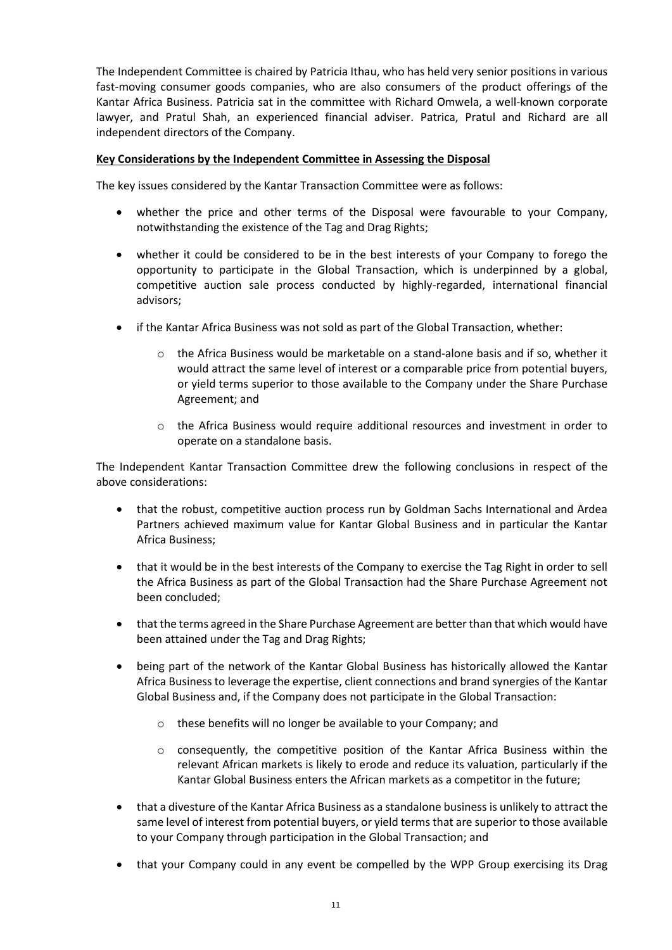The Independent Committee is chaired by Patricia Ithau, who has held very senior positions in various fast-moving consumer goods companies, who are also consumers of the product offerings of the Kantar Africa Business. Patricia sat in the committee with Richard Omwela, a well-known corporate lawyer, and Pratul Shah, an experienced financial adviser. Patrica, Pratul and Richard are all independent directors of the Company.

#### **Key Considerations by the Independent Committee in Assessing the Disposal**

The key issues considered by the Kantar Transaction Committee were as follows:

- whether the price and other terms of the Disposal were favourable to your Company, notwithstanding the existence of the Tag and Drag Rights;
- whether it could be considered to be in the best interests of your Company to forego the opportunity to participate in the Global Transaction, which is underpinned by a global, competitive auction sale process conducted by highly-regarded, international financial advisors;
- if the Kantar Africa Business was not sold as part of the Global Transaction, whether:
	- o the Africa Business would be marketable on a stand-alone basis and if so, whether it would attract the same level of interest or a comparable price from potential buyers, or yield terms superior to those available to the Company under the Share Purchase Agreement; and
	- o the Africa Business would require additional resources and investment in order to operate on a standalone basis.

The Independent Kantar Transaction Committee drew the following conclusions in respect of the above considerations:

- that the robust, competitive auction process run by Goldman Sachs International and Ardea Partners achieved maximum value for Kantar Global Business and in particular the Kantar Africa Business;
- that it would be in the best interests of the Company to exercise the Tag Right in order to sell the Africa Business as part of the Global Transaction had the Share Purchase Agreement not been concluded;
- that the terms agreed in the Share Purchase Agreement are better than that which would have been attained under the Tag and Drag Rights;
- being part of the network of the Kantar Global Business has historically allowed the Kantar Africa Business to leverage the expertise, client connections and brand synergies of the Kantar Global Business and, if the Company does not participate in the Global Transaction:
	- o these benefits will no longer be available to your Company; and
	- o consequently, the competitive position of the Kantar Africa Business within the relevant African markets is likely to erode and reduce its valuation, particularly if the Kantar Global Business enters the African markets as a competitor in the future;
- that a divesture of the Kantar Africa Business as a standalone business is unlikely to attract the same level of interest from potential buyers, or yield termsthat are superior to those available to your Company through participation in the Global Transaction; and
- that your Company could in any event be compelled by the WPP Group exercising its Drag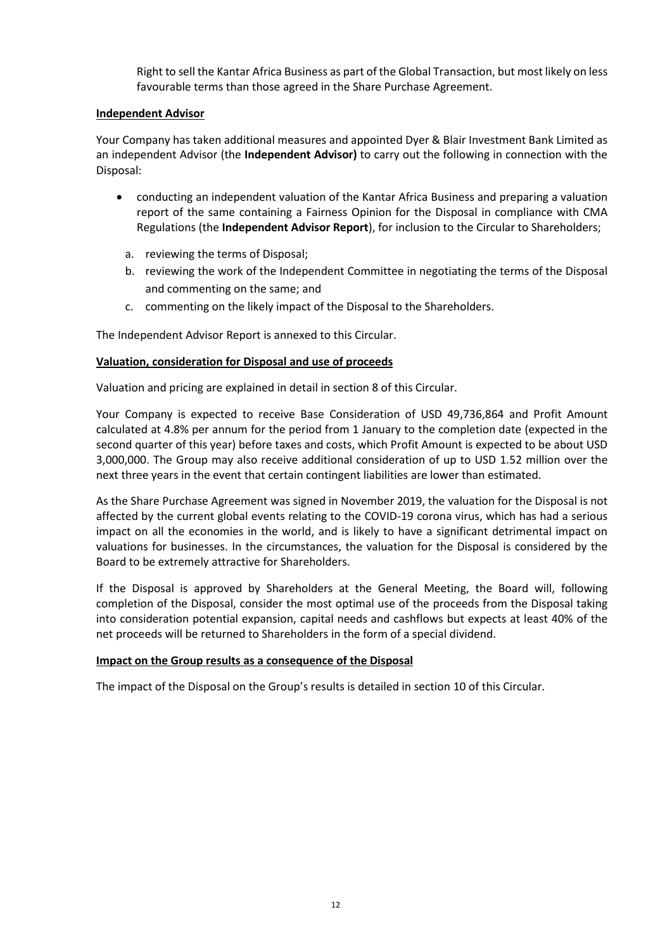Right to sell the Kantar Africa Business as part of the Global Transaction, but most likely on less favourable terms than those agreed in the Share Purchase Agreement.

#### **Independent Advisor**

Your Company has taken additional measures and appointed Dyer & Blair Investment Bank Limited as an independent Advisor (the **Independent Advisor)** to carry out the following in connection with the Disposal:

- conducting an independent valuation of the Kantar Africa Business and preparing a valuation report of the same containing a Fairness Opinion for the Disposal in compliance with CMA Regulations (the **Independent Advisor Report**), for inclusion to the Circular to Shareholders;
	- a. reviewing the terms of Disposal;
	- b. reviewing the work of the Independent Committee in negotiating the terms of the Disposal and commenting on the same; and
	- c. commenting on the likely impact of the Disposal to the Shareholders.

The Independent Advisor Report is annexed to this Circular.

#### **Valuation, consideration for Disposal and use of proceeds**

Valuation and pricing are explained in detail in section [8](#page-18-0) of this Circular.

Your Company is expected to receive Base Consideration of USD 49,736,864 and Profit Amount calculated at 4.8% per annum for the period from 1 January to the completion date (expected in the second quarter of this year) before taxes and costs, which Profit Amount is expected to be about USD 3,000,000. The Group may also receive additional consideration of up to USD 1.52 million over the next three years in the event that certain contingent liabilities are lower than estimated.

As the Share Purchase Agreement was signed in November 2019, the valuation for the Disposal is not affected by the current global events relating to the COVID-19 corona virus, which has had a serious impact on all the economies in the world, and is likely to have a significant detrimental impact on valuations for businesses. In the circumstances, the valuation for the Disposal is considered by the Board to be extremely attractive for Shareholders.

If the Disposal is approved by Shareholders at the General Meeting, the Board will, following completion of the Disposal, consider the most optimal use of the proceeds from the Disposal taking into consideration potential expansion, capital needs and cashflows but expects at least 40% of the net proceeds will be returned to Shareholders in the form of a special dividend.

### **Impact on the Group results as a consequence of the Disposal**

The impact of the Disposal on the Group's results is detailed in section [10](#page-22-0) of this Circular.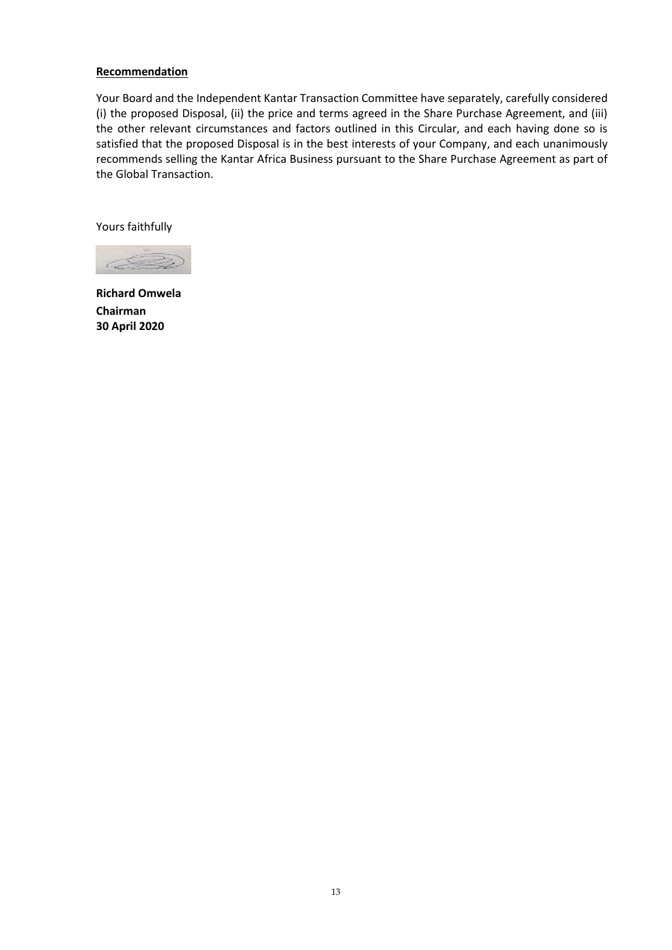#### **Recommendation**

Your Board and the Independent Kantar Transaction Committee have separately, carefully considered (i) the proposed Disposal, (ii) the price and terms agreed in the Share Purchase Agreement, and (iii) the other relevant circumstances and factors outlined in this Circular, and each having done so is satisfied that the proposed Disposal is in the best interests of your Company, and each unanimously recommends selling the Kantar Africa Business pursuant to the Share Purchase Agreement as part of the Global Transaction.

Yours faithfully



**Richard Omwela Chairman 30 April 2020**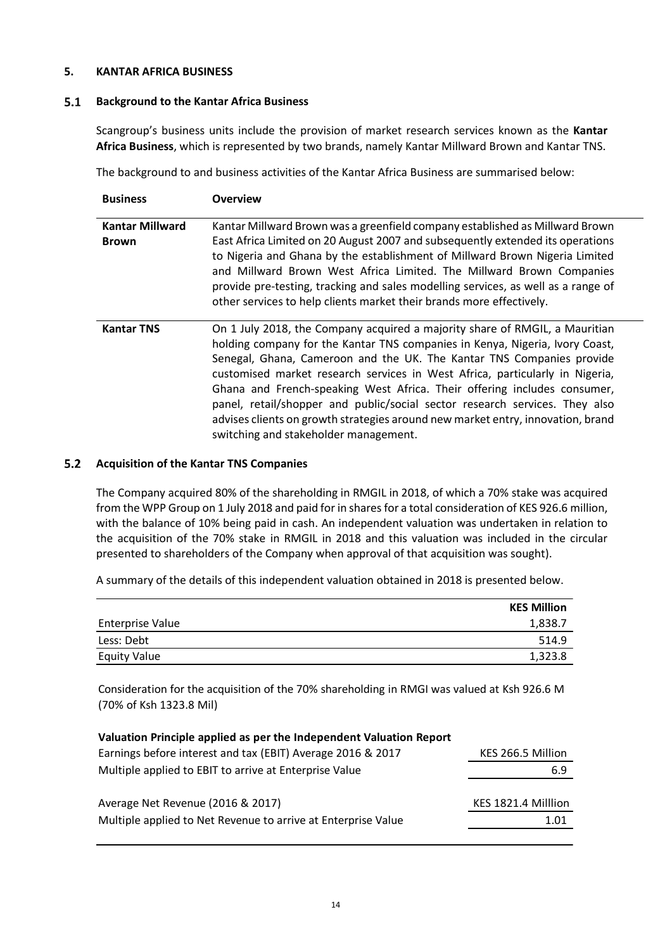#### <span id="page-13-0"></span>**5. KANTAR AFRICA BUSINESS**

#### $5.1$ **Background to the Kantar Africa Business**

Scangroup's business units include the provision of market research services known as the **Kantar Africa Business**, which is represented by two brands, namely Kantar Millward Brown and Kantar TNS.

The background to and business activities of the Kantar Africa Business are summarised below:

| <b>Business</b>                        | <b>Overview</b>                                                                                                                                                                                                                                                                                                                                                                                                                                                                                                                                                                                             |
|----------------------------------------|-------------------------------------------------------------------------------------------------------------------------------------------------------------------------------------------------------------------------------------------------------------------------------------------------------------------------------------------------------------------------------------------------------------------------------------------------------------------------------------------------------------------------------------------------------------------------------------------------------------|
| <b>Kantar Millward</b><br><b>Brown</b> | Kantar Millward Brown was a greenfield company established as Millward Brown<br>East Africa Limited on 20 August 2007 and subsequently extended its operations<br>to Nigeria and Ghana by the establishment of Millward Brown Nigeria Limited<br>and Millward Brown West Africa Limited. The Millward Brown Companies<br>provide pre-testing, tracking and sales modelling services, as well as a range of<br>other services to help clients market their brands more effectively.                                                                                                                          |
| <b>Kantar TNS</b>                      | On 1 July 2018, the Company acquired a majority share of RMGIL, a Mauritian<br>holding company for the Kantar TNS companies in Kenya, Nigeria, Ivory Coast,<br>Senegal, Ghana, Cameroon and the UK. The Kantar TNS Companies provide<br>customised market research services in West Africa, particularly in Nigeria,<br>Ghana and French-speaking West Africa. Their offering includes consumer,<br>panel, retail/shopper and public/social sector research services. They also<br>advises clients on growth strategies around new market entry, innovation, brand<br>switching and stakeholder management. |

#### <span id="page-13-2"></span>**Acquisition of the Kantar TNS Companies**

The Company acquired 80% of the shareholding in RMGIL in 2018, of which a 70% stake was acquired from the WPP Group on 1 July 2018 and paid for in shares for a total consideration of KES 926.6 million, with the balance of 10% being paid in cash. An independent valuation was undertaken in relation to the acquisition of the 70% stake in RMGIL in 2018 and this valuation was included in the circular presented to shareholders of the Company when approval of that acquisition was sought).

A summary of the details of this independent valuation obtained in 2018 is presented below.

|                         | <b>KES Million</b> |
|-------------------------|--------------------|
| <b>Enterprise Value</b> | 1,838.7            |
| Less: Debt              | 514.9              |
| <b>Equity Value</b>     | 1,323.8            |

Consideration for the acquisition of the 70% shareholding in RMGI was valued at Ksh 926.6 M (70% of Ksh 1323.8 Mil)

<span id="page-13-1"></span>

| Valuation Principle applied as per the Independent Valuation Report |                     |  |  |
|---------------------------------------------------------------------|---------------------|--|--|
| Earnings before interest and tax (EBIT) Average 2016 & 2017         | KES 266.5 Million   |  |  |
| Multiple applied to EBIT to arrive at Enterprise Value              | 6.9                 |  |  |
|                                                                     |                     |  |  |
| Average Net Revenue (2016 & 2017)                                   | KES 1821.4 Milllion |  |  |
| Multiple applied to Net Revenue to arrive at Enterprise Value       | 1.01                |  |  |
|                                                                     |                     |  |  |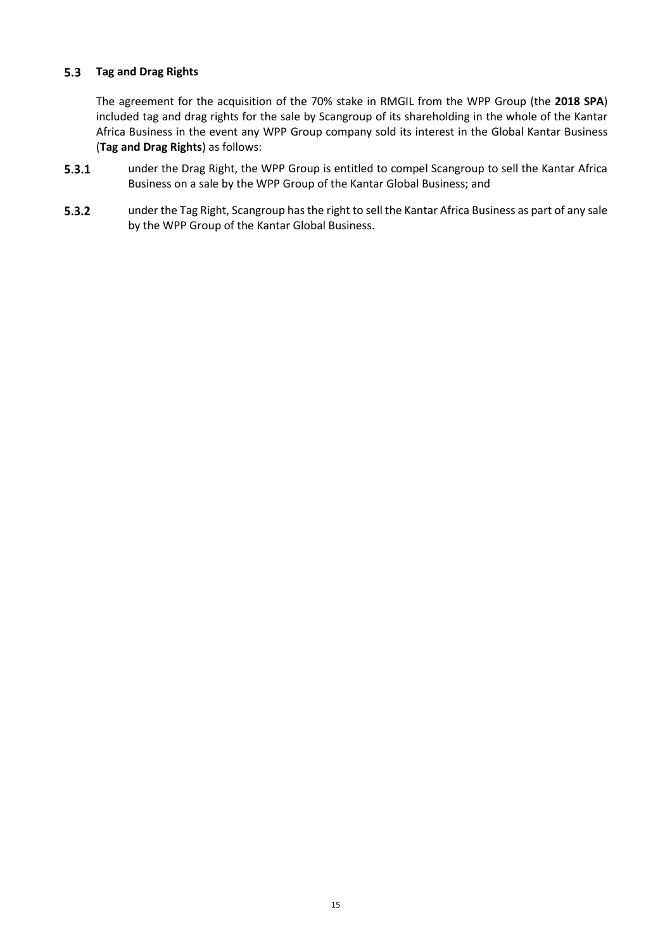#### $5.3$ **Tag and Drag Rights**

The agreement for the acquisition of the 70% stake in RMGIL from the WPP Group (the **2018 SPA**) included tag and drag rights for the sale by Scangroup of its shareholding in the whole of the Kantar Africa Business in the event any WPP Group company sold its interest in the Global Kantar Business (**Tag and Drag Rights**) as follows:

- $5.3.1$ under the Drag Right, the WPP Group is entitled to compel Scangroup to sell the Kantar Africa Business on a sale by the WPP Group of the Kantar Global Business; and
- $5.3.2$ under the Tag Right, Scangroup has the right to sell the Kantar Africa Business as part of any sale by the WPP Group of the Kantar Global Business.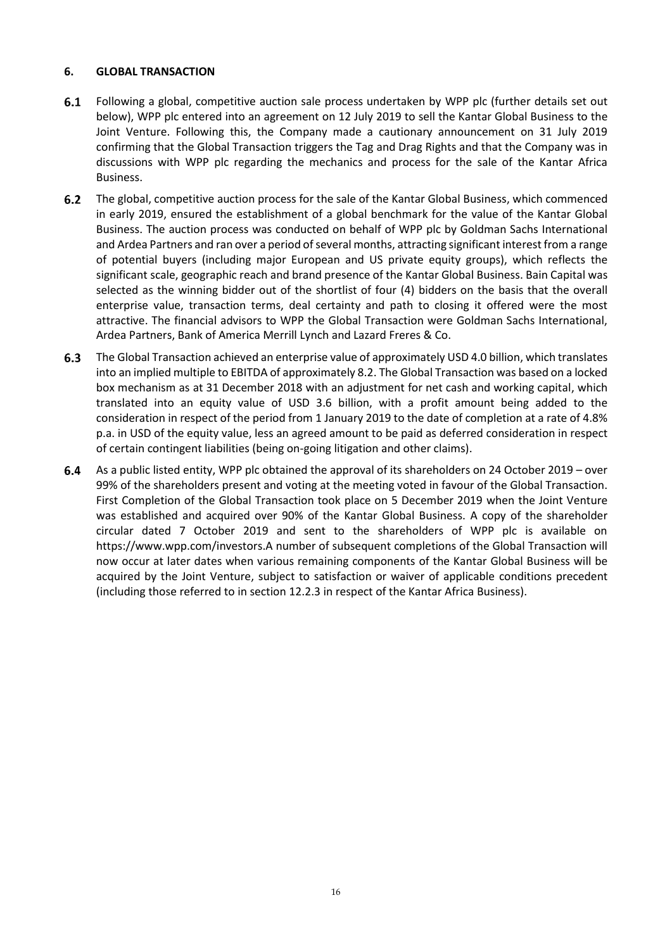#### <span id="page-15-0"></span>**6. GLOBAL TRANSACTION**

- $6.1$ Following a global, competitive auction sale process undertaken by WPP plc (further details set out below), WPP plc entered into an agreement on 12 July 2019 to sell the Kantar Global Business to the Joint Venture. Following this, the Company made a cautionary announcement on 31 July 2019 confirming that the Global Transaction triggers the Tag and Drag Rights and that the Company was in discussions with WPP plc regarding the mechanics and process for the sale of the Kantar Africa Business.
- $6.2$ The global, competitive auction process for the sale of the Kantar Global Business, which commenced in early 2019, ensured the establishment of a global benchmark for the value of the Kantar Global Business. The auction process was conducted on behalf of WPP plc by Goldman Sachs International and Ardea Partners and ran over a period of several months, attracting significant interest from a range of potential buyers (including major European and US private equity groups), which reflects the significant scale, geographic reach and brand presence of the Kantar Global Business. Bain Capital was selected as the winning bidder out of the shortlist of four (4) bidders on the basis that the overall enterprise value, transaction terms, deal certainty and path to closing it offered were the most attractive. The financial advisors to WPP the Global Transaction were Goldman Sachs International, Ardea Partners, Bank of America Merrill Lynch and Lazard Freres & Co.
- <span id="page-15-1"></span>The Global Transaction achieved an enterprise value of approximately USD 4.0 billion, which translates  $6.3$ into an implied multiple to EBITDA of approximately 8.2. The Global Transaction was based on a locked box mechanism as at 31 December 2018 with an adjustment for net cash and working capital, which translated into an equity value of USD 3.6 billion, with a profit amount being added to the consideration in respect of the period from 1 January 2019 to the date of completion at a rate of 4.8% p.a. in USD of the equity value, less an agreed amount to be paid as deferred consideration in respect of certain contingent liabilities (being on-going litigation and other claims).
- As a public listed entity, WPP plc obtained the approval of its shareholders on 24 October 2019 over  $6.4$ 99% of the shareholders present and voting at the meeting voted in favour of the Global Transaction. First Completion of the Global Transaction took place on 5 December 2019 when the Joint Venture was established and acquired over 90% of the Kantar Global Business. A copy of the shareholder circular dated 7 October 2019 and sent to the shareholders of WPP plc is available on [https://www.wpp.com/investors.](https://eur01.safelinks.protection.outlook.com/?url=https%3A%2F%2Fwww.wpp.com%2Finvestors&data=01%7C01%7CConsulting%40pratulshah.co.ke%7C1a4a98e762834b59856c08d7ae1616d6%7C967c5586736c432b9ca9619966529bf6%7C1&sdata=B8XFLD03ZdmI6w6wB1blG7%2FT3PRxcSp3wq2FyPvwiuU%3D&reserved=0)A number of subsequent completions of the Global Transaction will now occur at later dates when various remaining components of the Kantar Global Business will be acquired by the Joint Venture, subject to satisfaction or waiver of applicable conditions precedent (including those referred to in section [12.2.3](#page-26-0) in respect of the Kantar Africa Business).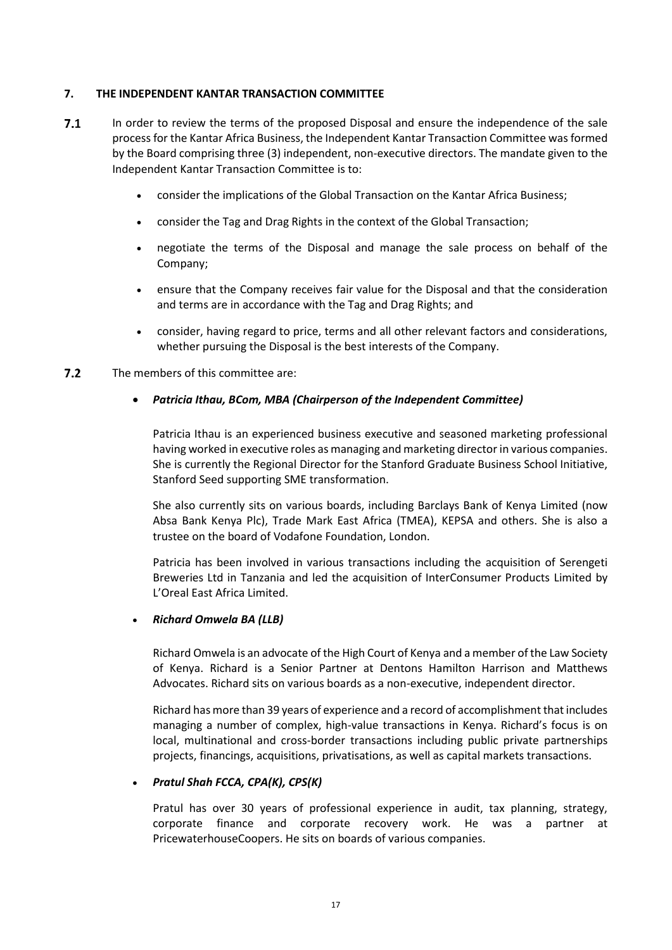#### <span id="page-16-0"></span>**7. THE INDEPENDENT KANTAR TRANSACTION COMMITTEE**

- $7.1$ In order to review the terms of the proposed Disposal and ensure the independence of the sale process for the Kantar Africa Business, the Independent Kantar Transaction Committee was formed by the Board comprising three (3) independent, non-executive directors. The mandate given to the Independent Kantar Transaction Committee is to:
	- consider the implications of the Global Transaction on the Kantar Africa Business;
	- consider the Tag and Drag Rights in the context of the Global Transaction;
	- negotiate the terms of the Disposal and manage the sale process on behalf of the Company;
	- ensure that the Company receives fair value for the Disposal and that the consideration and terms are in accordance with the Tag and Drag Rights; and
	- consider, having regard to price, terms and all other relevant factors and considerations, whether pursuing the Disposal is the best interests of the Company.
- $7.2$ The members of this committee are:

#### *Patricia Ithau, BCom, MBA (Chairperson of the Independent Committee)*

Patricia Ithau is an experienced business executive and seasoned marketing professional having worked in executive roles as managing and marketing director in various companies. She is currently the Regional Director for the Stanford Graduate Business School Initiative, Stanford Seed supporting SME transformation.

She also currently sits on various boards, including Barclays Bank of Kenya Limited (now Absa Bank Kenya Plc), Trade Mark East Africa (TMEA), KEPSA and others. She is also a trustee on the board of Vodafone Foundation, London.

Patricia has been involved in various transactions including the acquisition of Serengeti Breweries Ltd in Tanzania and led the acquisition of InterConsumer Products Limited by L'Oreal East Africa Limited.

#### *Richard Omwela BA (LLB)*

Richard Omwela is an advocate of the High Court of Kenya and a member of the Law Society of Kenya. Richard is a Senior Partner at Dentons Hamilton Harrison and Matthews Advocates. Richard sits on various boards as a non-executive, independent director.

Richard has more than 39 years of experience and a record of accomplishment that includes managing a number of complex, high-value transactions in Kenya. Richard's focus is on local, multinational and cross-border transactions including public private partnerships projects, financings, acquisitions, privatisations, as well as capital markets transactions.

#### *Pratul Shah FCCA, CPA(K), CPS(K)*

Pratul has over 30 years of professional experience in audit, tax planning, strategy, corporate finance and corporate recovery work. He was a partner at PricewaterhouseCoopers. He sits on boards of various companies.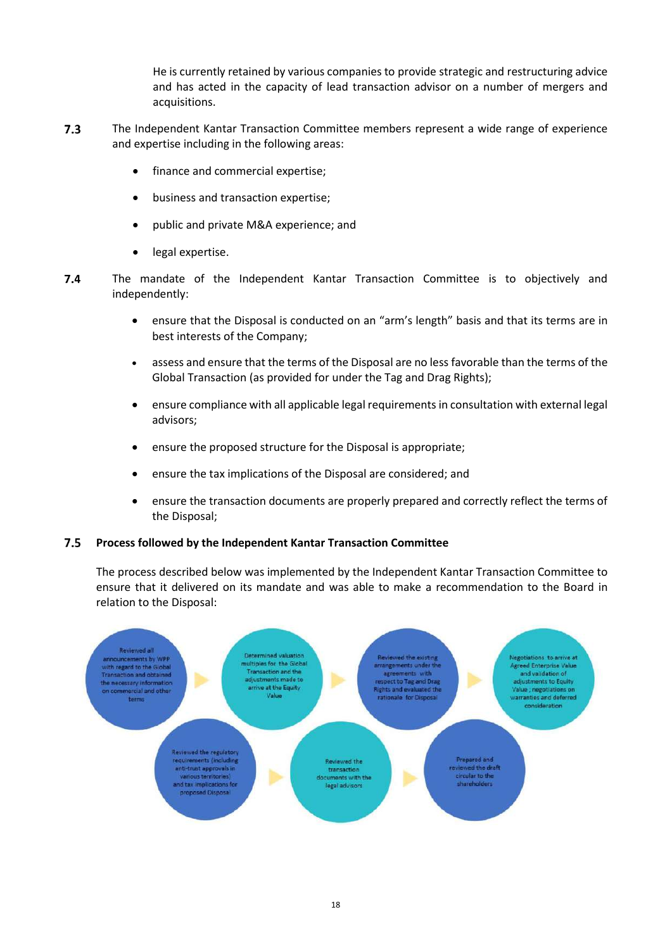He is currently retained by various companies to provide strategic and restructuring advice and has acted in the capacity of lead transaction advisor on a number of mergers and acquisitions.

- $7.3$ The Independent Kantar Transaction Committee members represent a wide range of experience and expertise including in the following areas:
	- finance and commercial expertise;
	- business and transaction expertise;
	- public and private M&A experience; and
	- legal expertise.
- $7.4$ The mandate of the Independent Kantar Transaction Committee is to objectively and independently:
	- ensure that the Disposal is conducted on an "arm's length" basis and that its terms are in best interests of the Company;
	- assess and ensure that the terms of the Disposal are no less favorable than the terms of the Global Transaction (as provided for under the Tag and Drag Rights);
	- ensure compliance with all applicable legal requirementsin consultation with external legal advisors;
	- ensure the proposed structure for the Disposal is appropriate;
	- ensure the tax implications of the Disposal are considered; and
	- ensure the transaction documents are properly prepared and correctly reflect the terms of the Disposal;

#### $7.5$ **Process followed by the Independent Kantar Transaction Committee**

The process described below was implemented by the Independent Kantar Transaction Committee to ensure that it delivered on its mandate and was able to make a recommendation to the Board in relation to the Disposal:

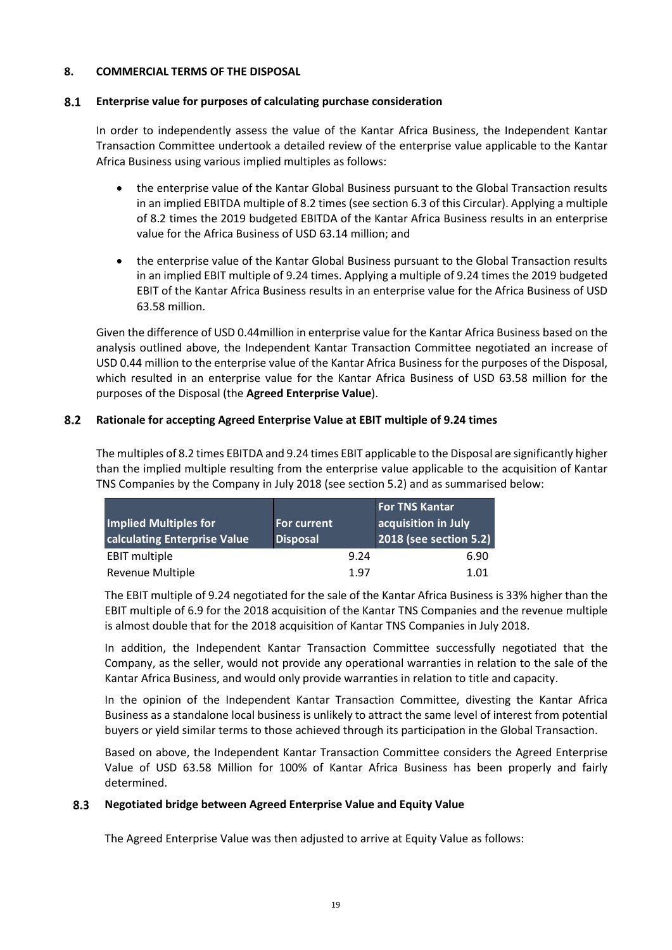#### <span id="page-18-0"></span>**8. COMMERCIAL TERMS OF THE DISPOSAL**

#### <span id="page-18-1"></span> $8.1$ **Enterprise value for purposes of calculating purchase consideration**

In order to independently assess the value of the Kantar Africa Business, the Independent Kantar Transaction Committee undertook a detailed review of the enterprise value applicable to the Kantar Africa Business using various implied multiples as follows:

- the enterprise value of the Kantar Global Business pursuant to the Global Transaction results in an implied EBITDA multiple of 8.2 times (see sectio[n 6.3](#page-15-1) of this Circular). Applying a multiple of 8.2 times the 2019 budgeted EBITDA of the Kantar Africa Business results in an enterprise value for the Africa Business of USD 63.14 million; and
- the enterprise value of the Kantar Global Business pursuant to the Global Transaction results in an implied EBIT multiple of 9.24 times. Applying a multiple of 9.24 times the 2019 budgeted EBIT of the Kantar Africa Business results in an enterprise value for the Africa Business of USD 63.58 million.

Given the difference of USD 0.44million in enterprise value for the Kantar Africa Business based on the analysis outlined above, the Independent Kantar Transaction Committee negotiated an increase of USD 0.44 million to the enterprise value of the Kantar Africa Business for the purposes of the Disposal, which resulted in an enterprise value for the Kantar Africa Business of USD 63.58 million for the purposes of the Disposal (the **Agreed Enterprise Value**).

#### $8.2$ **Rationale for accepting Agreed Enterprise Value at EBIT multiple of 9.24 times**

The multiples of 8.2 times EBITDA and 9.24 times EBIT applicable to the Disposal are significantly higher than the implied multiple resulting from the enterprise value applicable to the acquisition of Kantar TNS Companies by the Company in July 2018 (see section [5.2\)](#page-13-2) and as summarised below:

| <b>Implied Multiples for</b><br>calculating Enterprise Value | <b>For current</b><br><b>Disposal</b> |      |
|--------------------------------------------------------------|---------------------------------------|------|
| <b>EBIT multiple</b>                                         | 9.24                                  | 6.90 |
| Revenue Multiple                                             | 1.97                                  | 1.01 |

The EBIT multiple of 9.24 negotiated for the sale of the Kantar Africa Business is 33% higher than the EBIT multiple of 6.9 for the 2018 acquisition of the Kantar TNS Companies and the revenue multiple is almost double that for the 2018 acquisition of Kantar TNS Companies in July 2018.

In addition, the Independent Kantar Transaction Committee successfully negotiated that the Company, as the seller, would not provide any operational warranties in relation to the sale of the Kantar Africa Business, and would only provide warranties in relation to title and capacity.

In the opinion of the Independent Kantar Transaction Committee, divesting the Kantar Africa Business as a standalone local business is unlikely to attract the same level of interest from potential buyers or yield similar terms to those achieved through its participation in the Global Transaction.

Based on above, the Independent Kantar Transaction Committee considers the Agreed Enterprise Value of USD 63.58 Million for 100% of Kantar Africa Business has been properly and fairly determined.

#### <span id="page-18-2"></span> $8.3$ **Negotiated bridge between Agreed Enterprise Value and Equity Value**

The Agreed Enterprise Value was then adjusted to arrive at Equity Value as follows: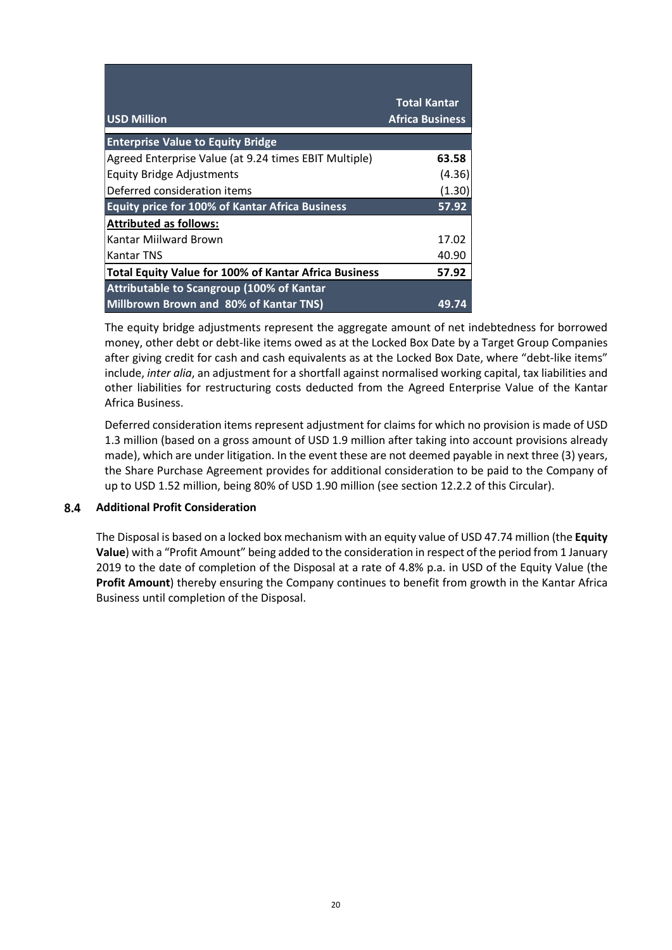|                                                              | <b>Total Kantar</b>    |
|--------------------------------------------------------------|------------------------|
| <b>USD Million</b>                                           | <b>Africa Business</b> |
| <b>Enterprise Value to Equity Bridge</b>                     |                        |
| Agreed Enterprise Value (at 9.24 times EBIT Multiple)        | 63.58                  |
| <b>Equity Bridge Adjustments</b>                             | (4.36)                 |
| Deferred consideration items                                 | (1.30)                 |
| <b>Equity price for 100% of Kantar Africa Business</b>       | 57.92                  |
| <b>Attributed as follows:</b>                                |                        |
| Kantar Miilward Brown                                        | 17.02                  |
| Kantar TNS                                                   | 40.90                  |
| <b>Total Equity Value for 100% of Kantar Africa Business</b> | 57.92                  |
| Attributable to Scangroup (100% of Kantar                    |                        |
| <b>Millbrown Brown and 80% of Kantar TNS)</b>                | 49.                    |

The equity bridge adjustments represent the aggregate amount of net indebtedness for borrowed money, other debt or debt-like items owed as at the Locked Box Date by a Target Group Companies after giving credit for cash and cash equivalents as at the Locked Box Date, where "debt-like items" include, *inter alia*, an adjustment for a shortfall against normalised working capital, tax liabilities and other liabilities for restructuring costs deducted from the Agreed Enterprise Value of the Kantar Africa Business.

Deferred consideration items represent adjustment for claims for which no provision is made of USD 1.3 million (based on a gross amount of USD 1.9 million after taking into account provisions already made), which are under litigation. In the event these are not deemed payable in next three (3) years, the Share Purchase Agreement provides for additional consideration to be paid to the Company of up to USD 1.52 million, being 80% of USD 1.90 million (see section [12.2.2](#page-26-1) of this Circular).

#### <span id="page-19-0"></span> $8.4$ **Additional Profit Consideration**

The Disposal is based on a locked box mechanism with an equity value of USD 47.74 million (the **Equity Value**) with a "Profit Amount" being added to the consideration in respect of the period from 1 January 2019 to the date of completion of the Disposal at a rate of 4.8% p.a. in USD of the Equity Value (the **Profit Amount**) thereby ensuring the Company continues to benefit from growth in the Kantar Africa Business until completion of the Disposal.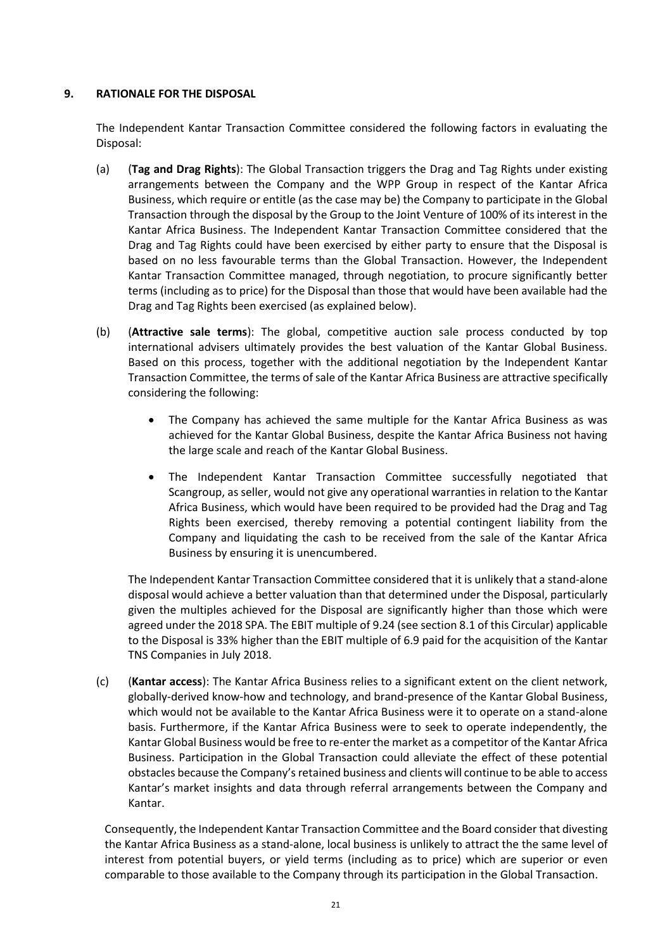#### <span id="page-20-0"></span>**9. RATIONALE FOR THE DISPOSAL**

The Independent Kantar Transaction Committee considered the following factors in evaluating the Disposal:

- (a) (**Tag and Drag Rights**): The Global Transaction triggers the Drag and Tag Rights under existing arrangements between the Company and the WPP Group in respect of the Kantar Africa Business, which require or entitle (as the case may be) the Company to participate in the Global Transaction through the disposal by the Group to the Joint Venture of 100% of its interest in the Kantar Africa Business. The Independent Kantar Transaction Committee considered that the Drag and Tag Rights could have been exercised by either party to ensure that the Disposal is based on no less favourable terms than the Global Transaction. However, the Independent Kantar Transaction Committee managed, through negotiation, to procure significantly better terms (including as to price) for the Disposal than those that would have been available had the Drag and Tag Rights been exercised (as explained below).
- (b) (**Attractive sale terms**): The global, competitive auction sale process conducted by top international advisers ultimately provides the best valuation of the Kantar Global Business. Based on this process, together with the additional negotiation by the Independent Kantar Transaction Committee, the terms of sale of the Kantar Africa Business are attractive specifically considering the following:
	- The Company has achieved the same multiple for the Kantar Africa Business as was achieved for the Kantar Global Business, despite the Kantar Africa Business not having the large scale and reach of the Kantar Global Business.
	- The Independent Kantar Transaction Committee successfully negotiated that Scangroup, as seller, would not give any operational warranties in relation to the Kantar Africa Business, which would have been required to be provided had the Drag and Tag Rights been exercised, thereby removing a potential contingent liability from the Company and liquidating the cash to be received from the sale of the Kantar Africa Business by ensuring it is unencumbered.

The Independent Kantar Transaction Committee considered that it is unlikely that a stand-alone disposal would achieve a better valuation than that determined under the Disposal, particularly given the multiples achieved for the Disposal are significantly higher than those which were agreed under the 2018 SPA. The EBIT multiple of 9.24 (see sectio[n 8.1](#page-18-1) of this Circular) applicable to the Disposal is 33% higher than the EBIT multiple of 6.9 paid for the acquisition of the Kantar TNS Companies in July 2018.

(c) (**Kantar access**): The Kantar Africa Business relies to a significant extent on the client network, globally-derived know-how and technology, and brand-presence of the Kantar Global Business, which would not be available to the Kantar Africa Business were it to operate on a stand-alone basis. Furthermore, if the Kantar Africa Business were to seek to operate independently, the Kantar Global Business would be free to re-enter the market as a competitor of the Kantar Africa Business. Participation in the Global Transaction could alleviate the effect of these potential obstacles because the Company's retained business and clients will continue to be able to access Kantar's market insights and data through referral arrangements between the Company and Kantar.

Consequently, the Independent Kantar Transaction Committee and the Board consider that divesting the Kantar Africa Business as a stand-alone, local business is unlikely to attract the the same level of interest from potential buyers, or yield terms (including as to price) which are superior or even comparable to those available to the Company through its participation in the Global Transaction.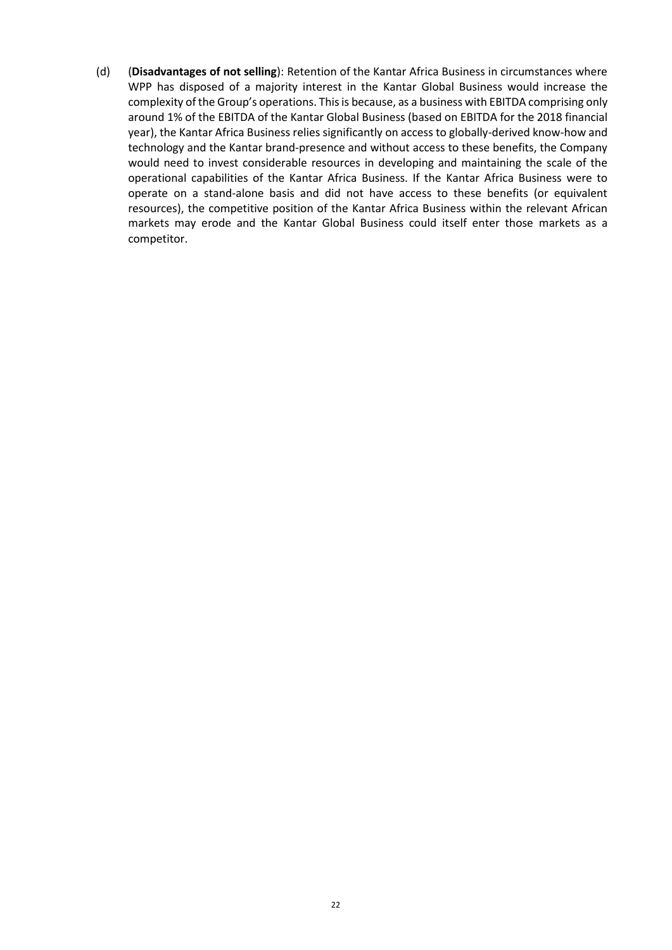(d) (**Disadvantages of not selling**): Retention of the Kantar Africa Business in circumstances where WPP has disposed of a majority interest in the Kantar Global Business would increase the complexity of the Group's operations. This is because, as a business with EBITDA comprising only around 1% of the EBITDA of the Kantar Global Business (based on EBITDA for the 2018 financial year), the Kantar Africa Business relies significantly on access to globally-derived know-how and technology and the Kantar brand-presence and without access to these benefits, the Company would need to invest considerable resources in developing and maintaining the scale of the operational capabilities of the Kantar Africa Business. If the Kantar Africa Business were to operate on a stand-alone basis and did not have access to these benefits (or equivalent resources), the competitive position of the Kantar Africa Business within the relevant African markets may erode and the Kantar Global Business could itself enter those markets as a competitor.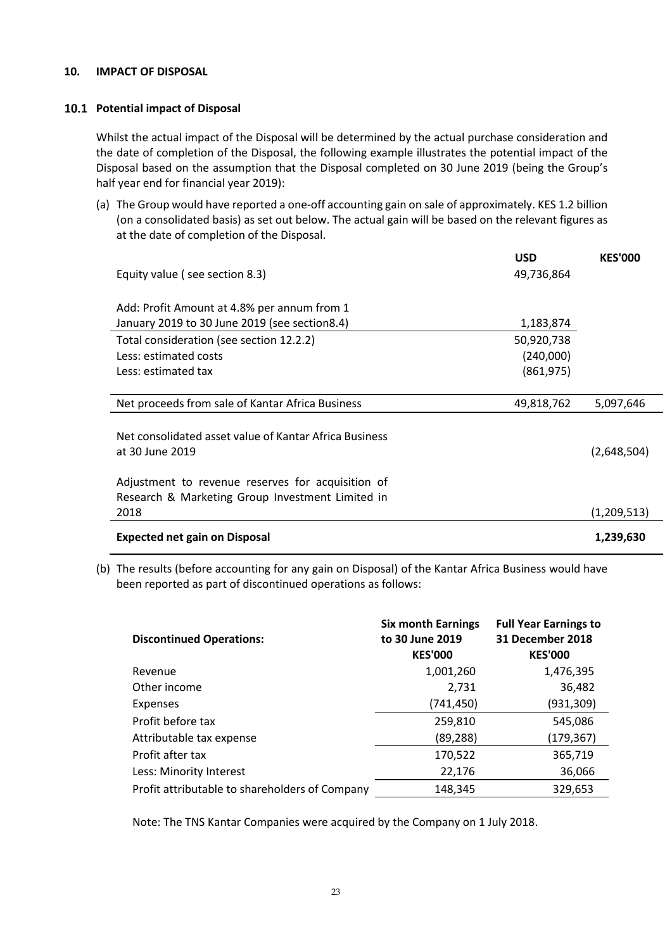#### <span id="page-22-0"></span>**10. IMPACT OF DISPOSAL**

#### **Potential impact of Disposal**

Whilst the actual impact of the Disposal will be determined by the actual purchase consideration and the date of completion of the Disposal, the following example illustrates the potential impact of the Disposal based on the assumption that the Disposal completed on 30 June 2019 (being the Group's half year end for financial year 2019):

(a) The Group would have reported a one-off accounting gain on sale of approximately. KES 1.2 billion (on a consolidated basis) as set out below. The actual gain will be based on the relevant figures as at the date of completion of the Disposal.

|                                                        | <b>USD</b> | <b>KES'000</b> |
|--------------------------------------------------------|------------|----------------|
| Equity value (see section 8.3)                         | 49,736,864 |                |
|                                                        |            |                |
| Add: Profit Amount at 4.8% per annum from 1            |            |                |
| January 2019 to 30 June 2019 (see section8.4)          | 1,183,874  |                |
| Total consideration (see section 12.2.2)               | 50,920,738 |                |
| Less: estimated costs                                  | (240,000)  |                |
| Less: estimated tax                                    | (861, 975) |                |
|                                                        |            |                |
| Net proceeds from sale of Kantar Africa Business       | 49,818,762 | 5,097,646      |
|                                                        |            |                |
| Net consolidated asset value of Kantar Africa Business |            |                |
| at 30 June 2019                                        |            | (2,648,504)    |
|                                                        |            |                |
| Adjustment to revenue reserves for acquisition of      |            |                |
| Research & Marketing Group Investment Limited in       |            |                |
| 2018                                                   |            | (1,209,513)    |
| <b>Expected net gain on Disposal</b>                   |            | 1,239,630      |

(b) The results (before accounting for any gain on Disposal) of the Kantar Africa Business would have been reported as part of discontinued operations as follows:

| <b>Discontinued Operations:</b>                | <b>Six month Earnings</b><br>to 30 June 2019<br><b>KES'000</b> | <b>Full Year Earnings to</b><br>31 December 2018<br><b>KES'000</b> |
|------------------------------------------------|----------------------------------------------------------------|--------------------------------------------------------------------|
| Revenue                                        | 1,001,260                                                      | 1,476,395                                                          |
| Other income                                   | 2,731                                                          | 36,482                                                             |
| Expenses                                       | (741, 450)                                                     | (931, 309)                                                         |
| Profit before tax                              | 259,810                                                        | 545,086                                                            |
| Attributable tax expense                       | (89, 288)                                                      | (179, 367)                                                         |
| Profit after tax                               | 170,522                                                        | 365,719                                                            |
| Less: Minority Interest                        | 22,176                                                         | 36,066                                                             |
| Profit attributable to shareholders of Company | 148,345                                                        | 329,653                                                            |

Note: The TNS Kantar Companies were acquired by the Company on 1 July 2018.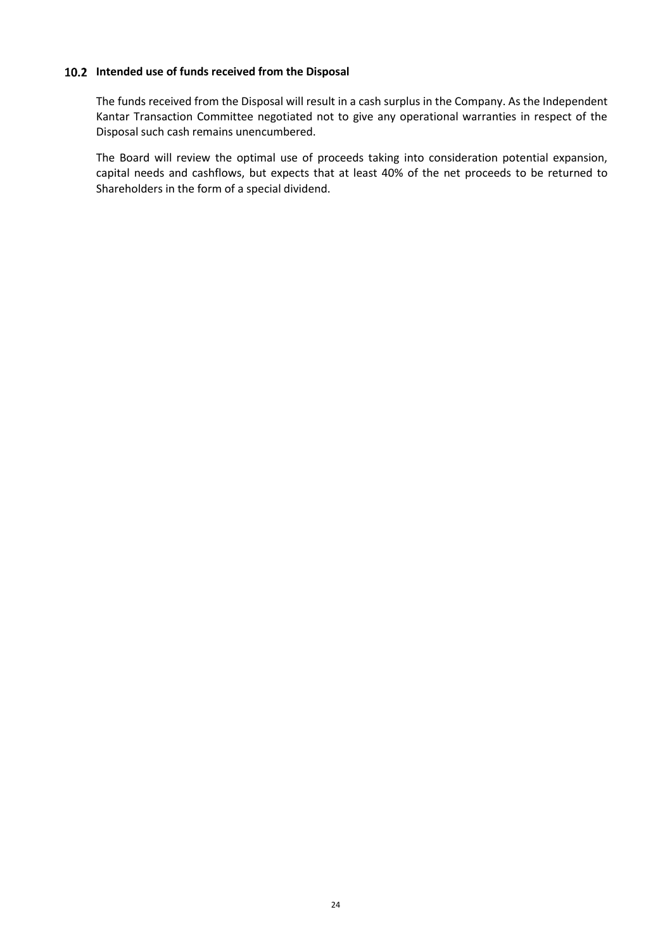#### **Intended use of funds received from the Disposal**

The funds received from the Disposal will result in a cash surplus in the Company. As the Independent Kantar Transaction Committee negotiated not to give any operational warranties in respect of the Disposal such cash remains unencumbered.

The Board will review the optimal use of proceeds taking into consideration potential expansion, capital needs and cashflows, but expects that at least 40% of the net proceeds to be returned to Shareholders in the form of a special dividend.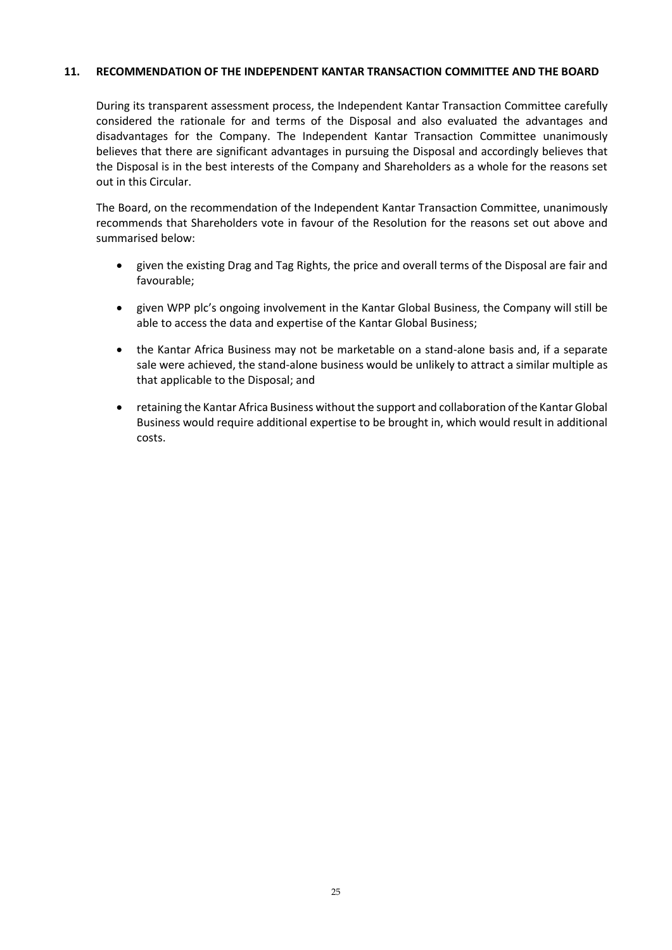#### <span id="page-24-0"></span>**11. RECOMMENDATION OF THE INDEPENDENT KANTAR TRANSACTION COMMITTEE AND THE BOARD**

During its transparent assessment process, the Independent Kantar Transaction Committee carefully considered the rationale for and terms of the Disposal and also evaluated the advantages and disadvantages for the Company. The Independent Kantar Transaction Committee unanimously believes that there are significant advantages in pursuing the Disposal and accordingly believes that the Disposal is in the best interests of the Company and Shareholders as a whole for the reasons set out in this Circular.

The Board, on the recommendation of the Independent Kantar Transaction Committee, unanimously recommends that Shareholders vote in favour of the Resolution for the reasons set out above and summarised below:

- given the existing Drag and Tag Rights, the price and overall terms of the Disposal are fair and favourable;
- given WPP plc's ongoing involvement in the Kantar Global Business, the Company will still be able to access the data and expertise of the Kantar Global Business;
- the Kantar Africa Business may not be marketable on a stand-alone basis and, if a separate sale were achieved, the stand-alone business would be unlikely to attract a similar multiple as that applicable to the Disposal; and
- <span id="page-24-1"></span> retaining the Kantar Africa Business without the support and collaboration of the Kantar Global Business would require additional expertise to be brought in, which would result in additional costs.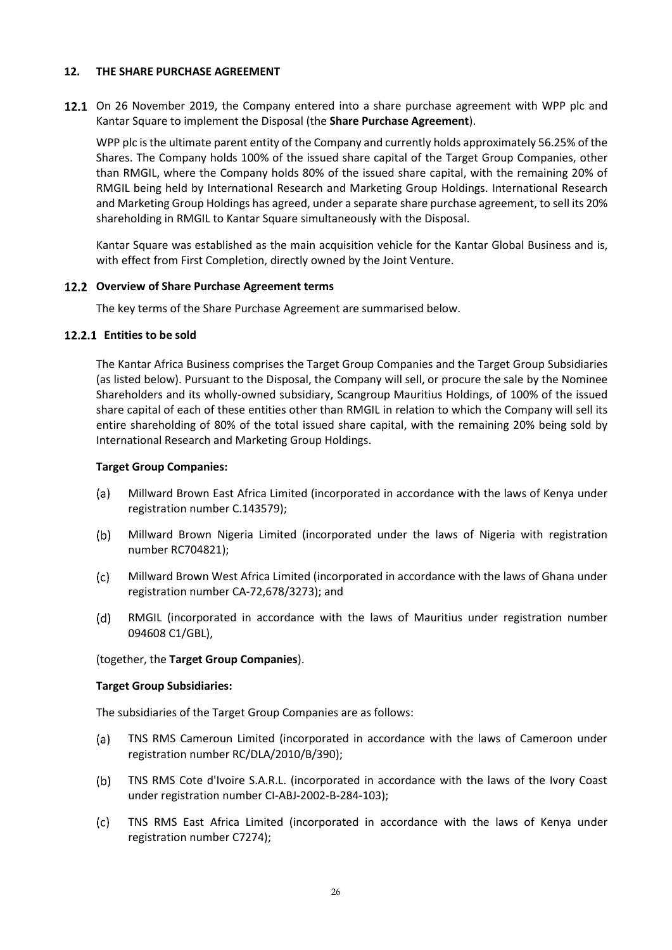#### <span id="page-25-0"></span>**12. THE SHARE PURCHASE AGREEMENT**

12.1 On 26 November 2019, the Company entered into a share purchase agreement with WPP plc and Kantar Square to implement the Disposal (the **Share Purchase Agreement**).

WPP plc is the ultimate parent entity of the Company and currently holds approximately 56.25% of the Shares. The Company holds 100% of the issued share capital of the Target Group Companies, other than RMGIL, where the Company holds 80% of the issued share capital, with the remaining 20% of RMGIL being held by International Research and Marketing Group Holdings. International Research and Marketing Group Holdings has agreed, under a separate share purchase agreement, to sell its 20% shareholding in RMGIL to Kantar Square simultaneously with the Disposal.

Kantar Square was established as the main acquisition vehicle for the Kantar Global Business and is, with effect from First Completion, directly owned by the Joint Venture.

#### **Overview of Share Purchase Agreement terms**

The key terms of the Share Purchase Agreement are summarised below.

#### <span id="page-25-1"></span>12.2.1 Entities to be sold

The Kantar Africa Business comprises the Target Group Companies and the Target Group Subsidiaries (as listed below). Pursuant to the Disposal, the Company will sell, or procure the sale by the Nominee Shareholders and its wholly-owned subsidiary, Scangroup Mauritius Holdings, of 100% of the issued share capital of each of these entities other than RMGIL in relation to which the Company will sell its entire shareholding of 80% of the total issued share capital, with the remaining 20% being sold by International Research and Marketing Group Holdings.

#### **Target Group Companies:**

- $(a)$ Millward Brown East Africa Limited (incorporated in accordance with the laws of Kenya under registration number C.143579);
- $(b)$ Millward Brown Nigeria Limited (incorporated under the laws of Nigeria with registration number RC704821);
- $(c)$ Millward Brown West Africa Limited (incorporated in accordance with the laws of Ghana under registration number CA-72,678/3273); and
- RMGIL (incorporated in accordance with the laws of Mauritius under registration number  $(d)$ 094608 C1/GBL),

#### (together, the **Target Group Companies**).

#### **Target Group Subsidiaries:**

The subsidiaries of the Target Group Companies are as follows:

- TNS RMS Cameroun Limited (incorporated in accordance with the laws of Cameroon under (a) registration number RC/DLA/2010/B/390);
- TNS RMS Cote d'Ivoire S.A.R.L. (incorporated in accordance with the laws of the Ivory Coast  $(b)$ under registration number CI-ABJ-2002-B-284-103);
- TNS RMS East Africa Limited (incorporated in accordance with the laws of Kenya under  $(c)$ registration number C7274);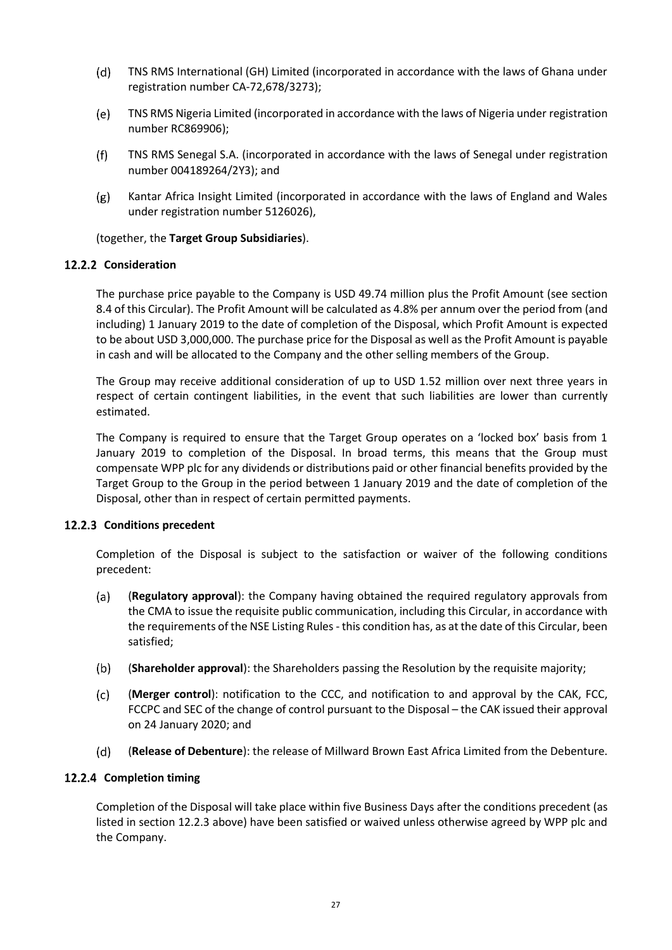- $(d)$ TNS RMS International (GH) Limited (incorporated in accordance with the laws of Ghana under registration number CA-72,678/3273);
- TNS RMS Nigeria Limited (incorporated in accordance with the laws of Nigeria under registration (e) number RC869906);
- $(f)$ TNS RMS Senegal S.A. (incorporated in accordance with the laws of Senegal under registration number 004189264/2Y3); and
- Kantar Africa Insight Limited (incorporated in accordance with the laws of England and Wales  $(g)$ under registration number 5126026),

(together, the **Target Group Subsidiaries**).

### <span id="page-26-1"></span>12.2.2 Consideration

The purchase price payable to the Company is USD 49.74 million plus the Profit Amount (see section [8.4](#page-19-0) of this Circular). The Profit Amount will be calculated as 4.8% per annum over the period from (and including) 1 January 2019 to the date of completion of the Disposal, which Profit Amount is expected to be about USD 3,000,000. The purchase price for the Disposal as well as the Profit Amount is payable in cash and will be allocated to the Company and the other selling members of the Group.

The Group may receive additional consideration of up to USD 1.52 million over next three years in respect of certain contingent liabilities, in the event that such liabilities are lower than currently estimated.

The Company is required to ensure that the Target Group operates on a 'locked box' basis from 1 January 2019 to completion of the Disposal. In broad terms, this means that the Group must compensate WPP plc for any dividends or distributions paid or other financial benefits provided by the Target Group to the Group in the period between 1 January 2019 and the date of completion of the Disposal, other than in respect of certain permitted payments.

#### <span id="page-26-0"></span>12.2.3 Conditions precedent

Completion of the Disposal is subject to the satisfaction or waiver of the following conditions precedent:

- (**Regulatory approval**): the Company having obtained the required regulatory approvals from  $(a)$ the CMA to issue the requisite public communication, including this Circular, in accordance with the requirements of the NSE Listing Rules- this condition has, as at the date of this Circular, been satisfied;
- $(b)$ (**Shareholder approval**): the Shareholders passing the Resolution by the requisite majority;
- $(c)$ (**Merger control**): notification to the CCC, and notification to and approval by the CAK, FCC, FCCPC and SEC of the change of control pursuant to the Disposal – the CAK issued their approval on 24 January 2020; and
- (**Release of Debenture**): the release of Millward Brown East Africa Limited from the Debenture.  $(d)$

### 12.2.4 Completion timing

Completion of the Disposal will take place within five Business Days after the conditions precedent (as listed in section [12.2.3](#page-26-0) above) have been satisfied or waived unless otherwise agreed by WPP plc and the Company.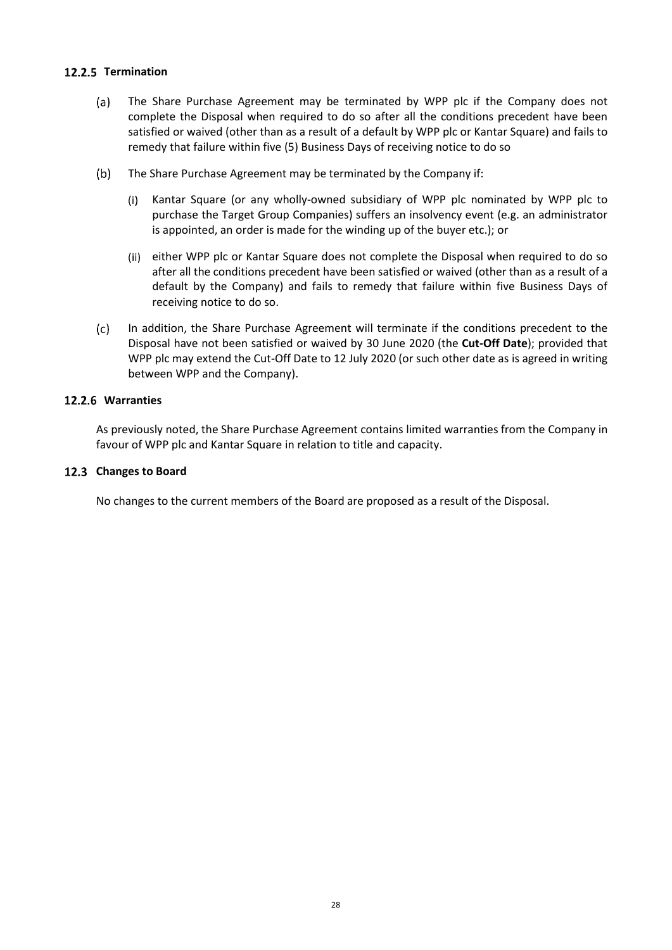### 12.2.5 Termination

- $(a)$ The Share Purchase Agreement may be terminated by WPP plc if the Company does not complete the Disposal when required to do so after all the conditions precedent have been satisfied or waived (other than as a result of a default by WPP plc or Kantar Square) and fails to remedy that failure within five (5) Business Days of receiving notice to do so
- $(b)$ The Share Purchase Agreement may be terminated by the Company if:
	- Kantar Square (or any wholly-owned subsidiary of WPP plc nominated by WPP plc to  $(i)$ purchase the Target Group Companies) suffers an insolvency event (e.g. an administrator is appointed, an order is made for the winding up of the buyer etc.); or
	- either WPP plc or Kantar Square does not complete the Disposal when required to do so after all the conditions precedent have been satisfied or waived (other than as a result of a default by the Company) and fails to remedy that failure within five Business Days of receiving notice to do so.
- $(c)$ In addition, the Share Purchase Agreement will terminate if the conditions precedent to the Disposal have not been satisfied or waived by 30 June 2020 (the **Cut-Off Date**); provided that WPP plc may extend the Cut-Off Date to 12 July 2020 (or such other date as is agreed in writing between WPP and the Company).

#### **Warranties**

As previously noted, the Share Purchase Agreement contains limited warranties from the Company in favour of WPP plc and Kantar Square in relation to title and capacity.

#### 12.3 Changes to Board

No changes to the current members of the Board are proposed as a result of the Disposal.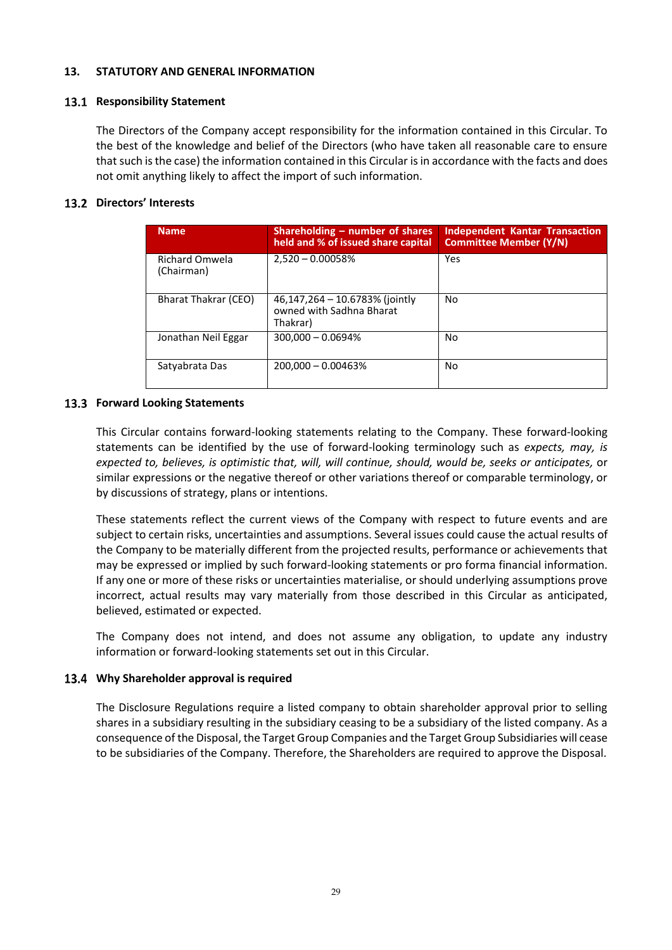#### <span id="page-28-0"></span>**13. STATUTORY AND GENERAL INFORMATION**

#### **13.1 Responsibility Statement**

The Directors of the Company accept responsibility for the information contained in this Circular. To the best of the knowledge and belief of the Directors (who have taken all reasonable care to ensure that such is the case) the information contained in this Circular is in accordance with the facts and does not omit anything likely to affect the import of such information.

#### **Directors' Interests**

| <b>Name</b>                         | Shareholding – number of shares<br>held and % of issued share capital  | <b>Independent Kantar Transaction</b><br><b>Committee Member (Y/N)</b> |
|-------------------------------------|------------------------------------------------------------------------|------------------------------------------------------------------------|
| <b>Richard Omwela</b><br>(Chairman) | $2,520 - 0.00058%$                                                     | Yes                                                                    |
| Bharat Thakrar (CEO)                | 46,147,264 – 10.6783% (jointly<br>owned with Sadhna Bharat<br>Thakrar) | No                                                                     |
| Jonathan Neil Eggar                 | $300,000 - 0.0694\%$                                                   | No                                                                     |
| Satyabrata Das                      | 200,000 - 0.00463%                                                     | No                                                                     |

#### **13.3 Forward Looking Statements**

This Circular contains forward-looking statements relating to the Company. These forward-looking statements can be identified by the use of forward-looking terminology such as *expects, may, is expected to, believes, is optimistic that, will, will continue, should, would be, seeks or anticipates,* or similar expressions or the negative thereof or other variations thereof or comparable terminology, or by discussions of strategy, plans or intentions.

These statements reflect the current views of the Company with respect to future events and are subject to certain risks, uncertainties and assumptions. Several issues could cause the actual results of the Company to be materially different from the projected results, performance or achievements that may be expressed or implied by such forward-looking statements or pro forma financial information. If any one or more of these risks or uncertainties materialise, or should underlying assumptions prove incorrect, actual results may vary materially from those described in this Circular as anticipated, believed, estimated or expected.

The Company does not intend, and does not assume any obligation, to update any industry information or forward-looking statements set out in this Circular.

#### **Why Shareholder approval is required**

The Disclosure Regulations require a listed company to obtain shareholder approval prior to selling shares in a subsidiary resulting in the subsidiary ceasing to be a subsidiary of the listed company. As a consequence of the Disposal, the Target Group Companies and the Target Group Subsidiaries will cease to be subsidiaries of the Company. Therefore, the Shareholders are required to approve the Disposal.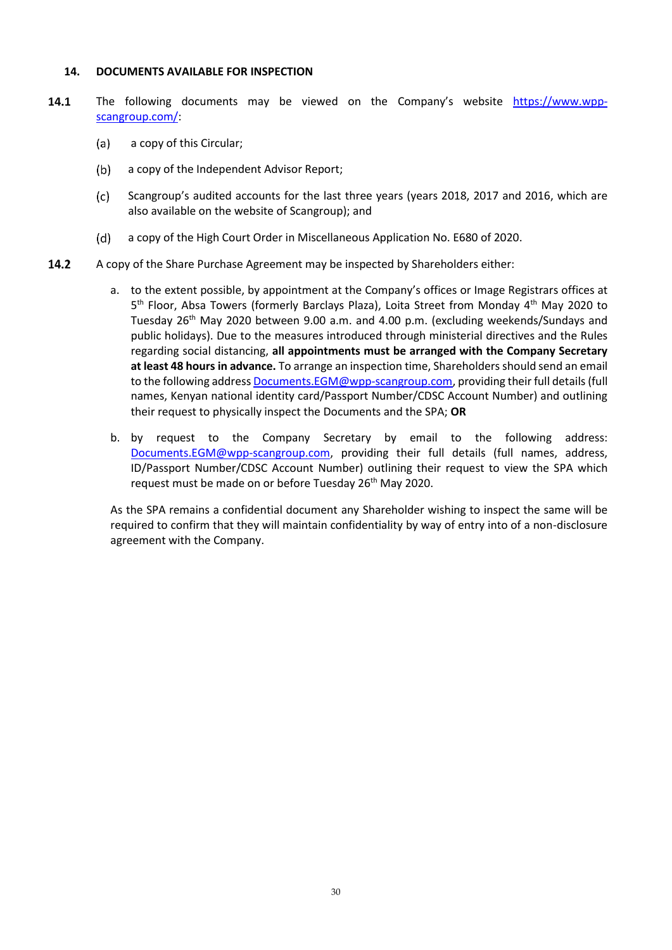#### <span id="page-29-0"></span>**14. DOCUMENTS AVAILABLE FOR INSPECTION**

- $14.1$ The following documents may be viewed on the Company's website [https://www.wpp](https://www.wpp-scangroup.com/)[scangroup.com/:](https://www.wpp-scangroup.com/)
	- $(a)$ a copy of this Circular;
	- $(b)$ a copy of the Independent Advisor Report;
	- $(c)$ Scangroup's audited accounts for the last three years (years 2018, 2017 and 2016, which are also available on the website of Scangroup); and
	- $(d)$ a copy of the High Court Order in Miscellaneous Application No. E680 of 2020.
- 14.2 A copy of the Share Purchase Agreement may be inspected by Shareholders either:
	- a. to the extent possible, by appointment at the Company's offices or Image Registrars offices at 5<sup>th</sup> Floor, Absa Towers (formerly Barclays Plaza), Loita Street from Monday 4<sup>th</sup> May 2020 to Tuesday 26th May 2020 between 9.00 a.m. and 4.00 p.m. (excluding weekends/Sundays and public holidays). Due to the measures introduced through ministerial directives and the Rules regarding social distancing, **all appointments must be arranged with the Company Secretary at least 48 hours in advance.** To arrange an inspection time, Shareholders should send an email to the following addres[s Documents.EGM@wpp-scangroup.com,](mailto:Documents.EGM@wpp-scangroup.com) providing their full details (full names, Kenyan national identity card/Passport Number/CDSC Account Number) and outlining their request to physically inspect the Documents and the SPA; **OR**
	- b. by request to the Company Secretary by email to the following address: Documents.EGM@wpp-scangroup.com, providing their full details (full names, address, ID/Passport Number/CDSC Account Number) outlining their request to view the SPA which request must be made on or before Tuesday 26<sup>th</sup> May 2020.

As the SPA remains a confidential document any Shareholder wishing to inspect the same will be required to confirm that they will maintain confidentiality by way of entry into of a non-disclosure agreement with the Company.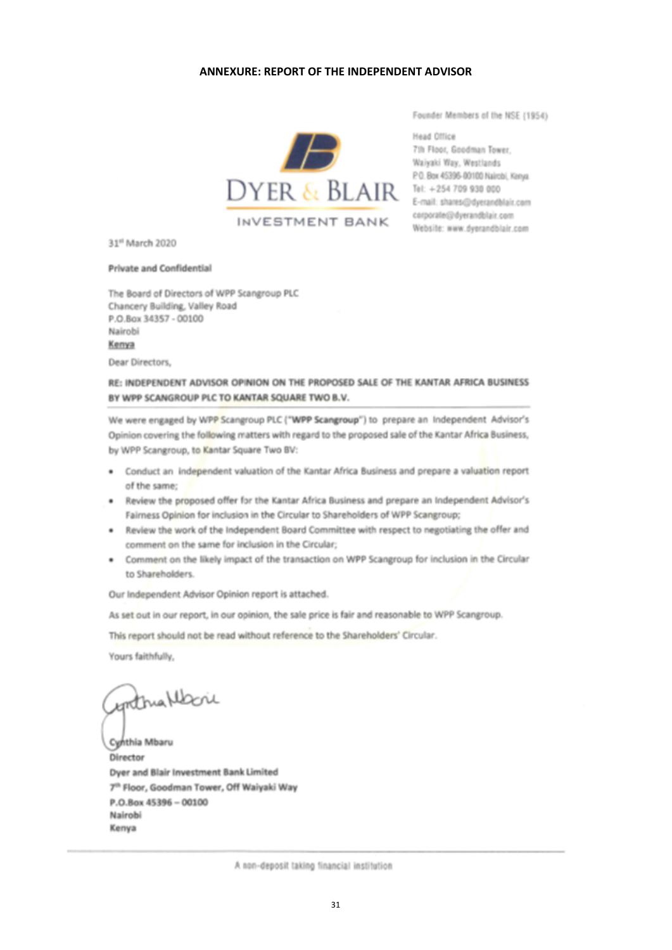#### <span id="page-30-0"></span>**ANNEXURE: REPORT OF THE INDEPENDENT ADVISOR**



Founder Members of the NSE (1954)

Head Office corporate@dyerandblair.com Website: www.dyerandblair.com

31<sup>st</sup> March 2020

#### **Private and Confidential**

The Board of Directors of WPP Scangroup PLC Chancery Building, Valley Road P.O.Box 34357 - 00100 Nairobi Kenya

Dear Directors,

#### RE: INDEPENDENT ADVISOR OPINION ON THE PROPOSED SALE OF THE KANTAR AFRICA BUSINESS BY WPP SCANGROUP PLC TO KANTAR SQUARE TWO B.V.

We were engaged by WPP Scangroup PLC ("WPP Scangroup") to prepare an Independent Advisor's Opinion covering the following matters with regard to the proposed sale of the Kantar Africa Business, by WPP Scangroup, to Kantar Square Two BV:

- . Conduct an independent valuation of the Kantar Africa Business and prepare a valuation report of the same;
- . Review the proposed offer for the Kantar Africa Business and prepare an Independent Advisor's Fairness Opinion for inclusion in the Circular to Shareholders of WPP Scangroup;
- . Review the work of the Independent Board Committee with respect to negotiating the offer and comment on the same for inclusion in the Circular;
- . Comment on the likely impact of the transaction on WPP Scangroup for inclusion in the Circular to Shareholders.

Our Independent Advisor Opinion report is attached.

As set out in our report, in our opinion, the sale price is fair and reasonable to WPP Scangroup.

This report should not be read without reference to the Shareholders' Circular.

Yours faithfully,

Anthra Morie

Cynthia Mbaru Director Dyer and Blair Investment Bank Limited 7<sup>th</sup> Floor, Goodman Tower, Off Waiyaki Way P.O.Box 45396 - 00100 Nairobi Kenya

A non-deposit taking financial institution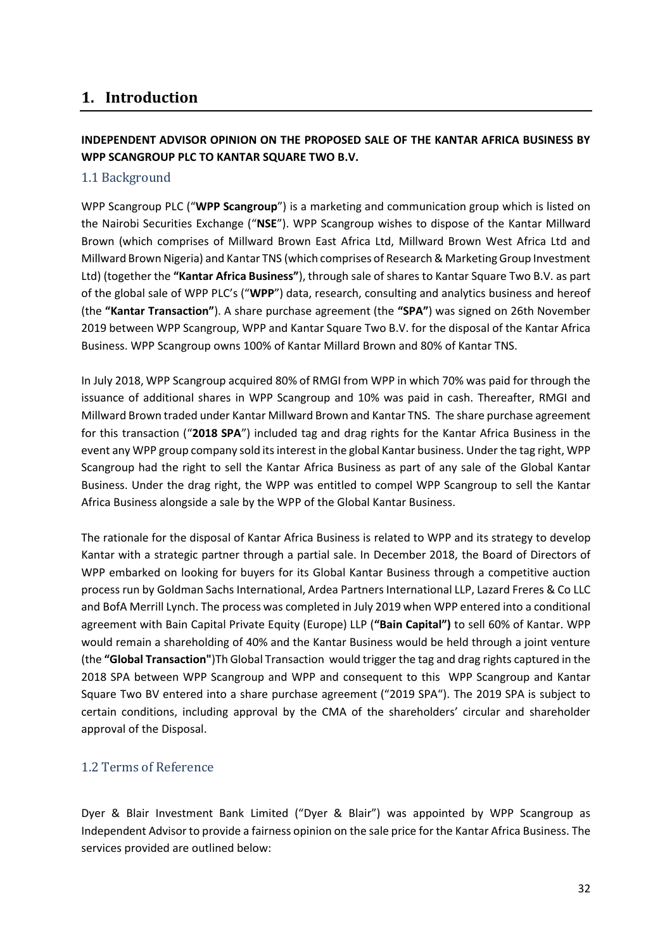# **1. Introduction**

## **INDEPENDENT ADVISOR OPINION ON THE PROPOSED SALE OF THE KANTAR AFRICA BUSINESS BY WPP SCANGROUP PLC TO KANTAR SQUARE TWO B.V.**

## 1.1 Background

WPP Scangroup PLC ("**WPP Scangroup**") is a marketing and communication group which is listed on the Nairobi Securities Exchange ("**NSE**"). WPP Scangroup wishes to dispose of the Kantar Millward Brown (which comprises of Millward Brown East Africa Ltd, Millward Brown West Africa Ltd and Millward Brown Nigeria) and Kantar TNS (which comprises of Research & Marketing Group Investment Ltd) (together the **"Kantar Africa Business"**), through sale of shares to Kantar Square Two B.V. as part of the global sale of WPP PLC's ("**WPP**") data, research, consulting and analytics business and hereof (the **"Kantar Transaction"**). A share purchase agreement (the **"SPA"**) was signed on 26th November 2019 between WPP Scangroup, WPP and Kantar Square Two B.V. for the disposal of the Kantar Africa Business. WPP Scangroup owns 100% of Kantar Millard Brown and 80% of Kantar TNS.

In July 2018, WPP Scangroup acquired 80% of RMGI from WPP in which 70% was paid for through the issuance of additional shares in WPP Scangroup and 10% was paid in cash. Thereafter, RMGI and Millward Brown traded under Kantar Millward Brown and Kantar TNS. The share purchase agreement for this transaction ("**2018 SPA**") included tag and drag rights for the Kantar Africa Business in the event any WPP group company sold its interest in the global Kantar business. Under the tag right, WPP Scangroup had the right to sell the Kantar Africa Business as part of any sale of the Global Kantar Business. Under the drag right, the WPP was entitled to compel WPP Scangroup to sell the Kantar Africa Business alongside a sale by the WPP of the Global Kantar Business.

The rationale for the disposal of Kantar Africa Business is related to WPP and its strategy to develop Kantar with a strategic partner through a partial sale. In December 2018, the Board of Directors of WPP embarked on looking for buyers for its Global Kantar Business through a competitive auction process run by Goldman Sachs International, Ardea Partners International LLP, Lazard Freres & Co LLC and BofA Merrill Lynch. The process was completed in July 2019 when WPP entered into a conditional agreement with Bain Capital Private Equity (Europe) LLP (**"Bain Capital")** to sell 60% of Kantar. WPP would remain a shareholding of 40% and the Kantar Business would be held through a joint venture (the **"Global Transaction"**)Th Global Transaction would trigger the tag and drag rights captured in the 2018 SPA between WPP Scangroup and WPP and consequent to this WPP Scangroup and Kantar Square Two BV entered into a share purchase agreement ("2019 SPA"). The 2019 SPA is subject to certain conditions, including approval by the CMA of the shareholders' circular and shareholder approval of the Disposal.

## 1.2 Terms of Reference

Dyer & Blair Investment Bank Limited ("Dyer & Blair") was appointed by WPP Scangroup as Independent Advisor to provide a fairness opinion on the sale price for the Kantar Africa Business. The services provided are outlined below: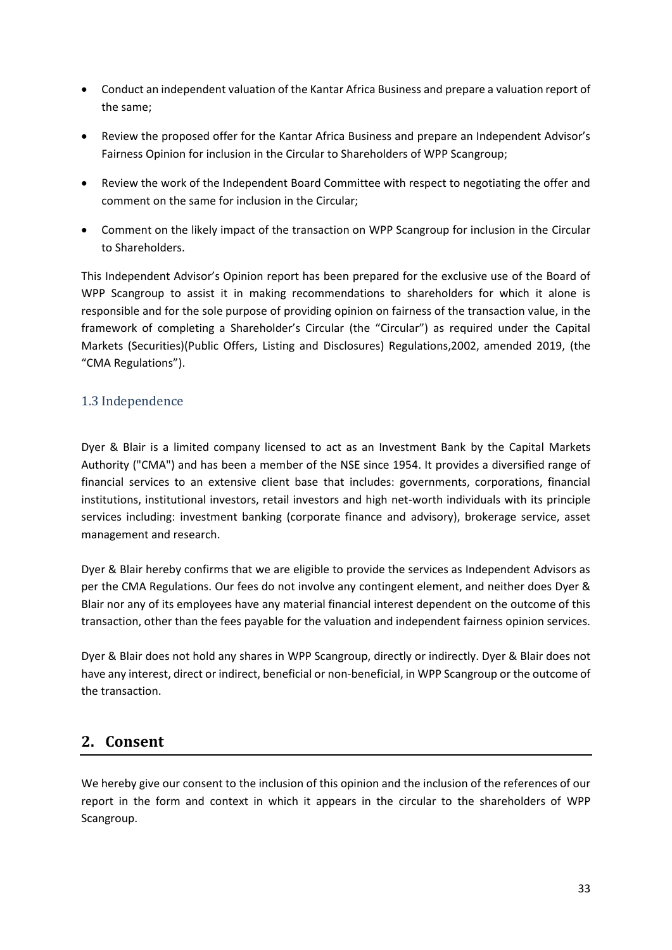- Conduct an independent valuation of the Kantar Africa Business and prepare a valuation report of the same;
- Review the proposed offer for the Kantar Africa Business and prepare an Independent Advisor's Fairness Opinion for inclusion in the Circular to Shareholders of WPP Scangroup;
- Review the work of the Independent Board Committee with respect to negotiating the offer and comment on the same for inclusion in the Circular;
- Comment on the likely impact of the transaction on WPP Scangroup for inclusion in the Circular to Shareholders.

This Independent Advisor's Opinion report has been prepared for the exclusive use of the Board of WPP Scangroup to assist it in making recommendations to shareholders for which it alone is responsible and for the sole purpose of providing opinion on fairness of the transaction value, in the framework of completing a Shareholder's Circular (the "Circular") as required under the Capital Markets (Securities)(Public Offers, Listing and Disclosures) Regulations,2002, amended 2019, (the "CMA Regulations").

## 1.3 Independence

Dyer & Blair is a limited company licensed to act as an Investment Bank by the Capital Markets Authority ("CMA") and has been a member of the NSE since 1954. It provides a diversified range of financial services to an extensive client base that includes: governments, corporations, financial institutions, institutional investors, retail investors and high net-worth individuals with its principle services including: investment banking (corporate finance and advisory), brokerage service, asset management and research.

Dyer & Blair hereby confirms that we are eligible to provide the services as Independent Advisors as per the CMA Regulations. Our fees do not involve any contingent element, and neither does Dyer & Blair nor any of its employees have any material financial interest dependent on the outcome of this transaction, other than the fees payable for the valuation and independent fairness opinion services.

Dyer & Blair does not hold any shares in WPP Scangroup, directly or indirectly. Dyer & Blair does not have any interest, direct or indirect, beneficial or non-beneficial, in WPP Scangroup or the outcome of the transaction.

## **2. Consent**

We hereby give our consent to the inclusion of this opinion and the inclusion of the references of our report in the form and context in which it appears in the circular to the shareholders of WPP Scangroup.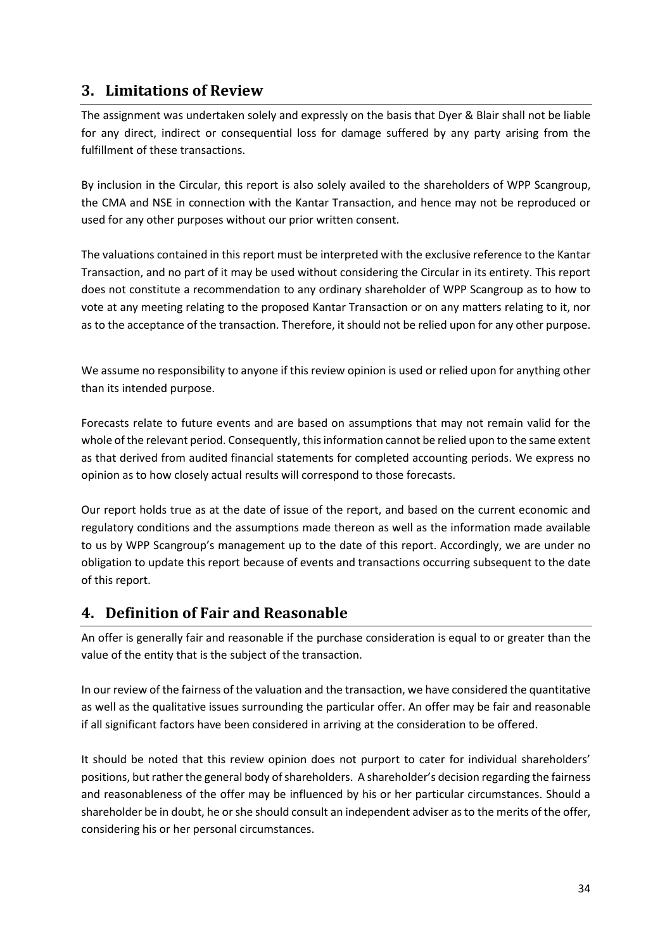# **3. Limitations of Review**

The assignment was undertaken solely and expressly on the basis that Dyer & Blair shall not be liable for any direct, indirect or consequential loss for damage suffered by any party arising from the fulfillment of these transactions.

By inclusion in the Circular, this report is also solely availed to the shareholders of WPP Scangroup, the CMA and NSE in connection with the Kantar Transaction, and hence may not be reproduced or used for any other purposes without our prior written consent.

The valuations contained in this report must be interpreted with the exclusive reference to the Kantar Transaction, and no part of it may be used without considering the Circular in its entirety. This report does not constitute a recommendation to any ordinary shareholder of WPP Scangroup as to how to vote at any meeting relating to the proposed Kantar Transaction or on any matters relating to it, nor as to the acceptance of the transaction. Therefore, it should not be relied upon for any other purpose.

We assume no responsibility to anyone if this review opinion is used or relied upon for anything other than its intended purpose.

Forecasts relate to future events and are based on assumptions that may not remain valid for the whole of the relevant period. Consequently, this information cannot be relied upon to the same extent as that derived from audited financial statements for completed accounting periods. We express no opinion as to how closely actual results will correspond to those forecasts.

Our report holds true as at the date of issue of the report, and based on the current economic and regulatory conditions and the assumptions made thereon as well as the information made available to us by WPP Scangroup's management up to the date of this report. Accordingly, we are under no obligation to update this report because of events and transactions occurring subsequent to the date of this report.

# **4. Definition of Fair and Reasonable**

An offer is generally fair and reasonable if the purchase consideration is equal to or greater than the value of the entity that is the subject of the transaction.

In our review of the fairness of the valuation and the transaction, we have considered the quantitative as well as the qualitative issues surrounding the particular offer. An offer may be fair and reasonable if all significant factors have been considered in arriving at the consideration to be offered.

It should be noted that this review opinion does not purport to cater for individual shareholders' positions, but rather the general body of shareholders. A shareholder's decision regarding the fairness and reasonableness of the offer may be influenced by his or her particular circumstances. Should a shareholder be in doubt, he or she should consult an independent adviser as to the merits of the offer, considering his or her personal circumstances.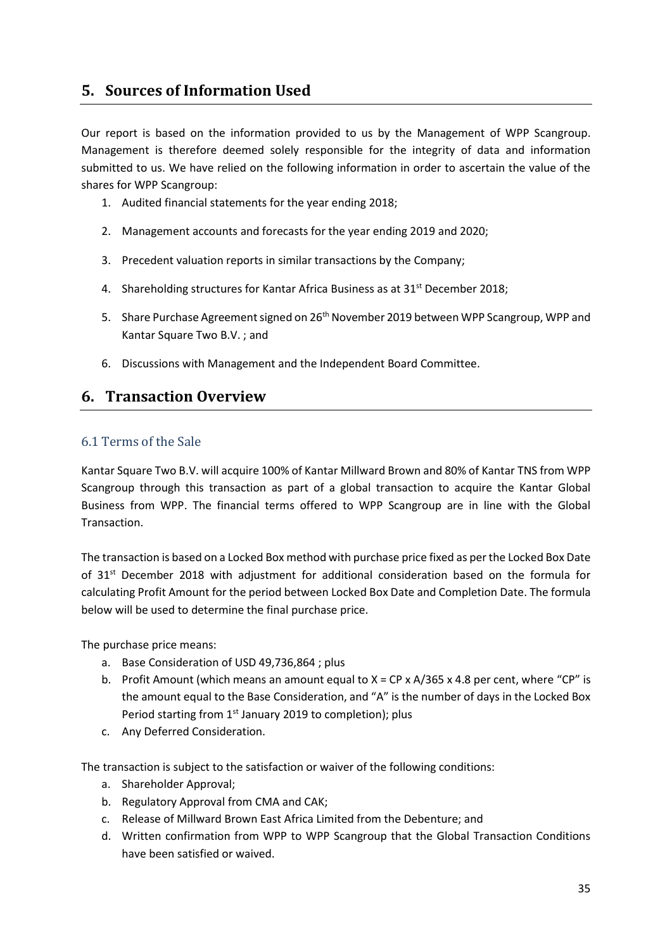# **5. Sources of Information Used**

Our report is based on the information provided to us by the Management of WPP Scangroup. Management is therefore deemed solely responsible for the integrity of data and information submitted to us. We have relied on the following information in order to ascertain the value of the shares for WPP Scangroup:

- 1. Audited financial statements for the year ending 2018;
- 2. Management accounts and forecasts for the year ending 2019 and 2020;
- 3. Precedent valuation reports in similar transactions by the Company;
- 4. Shareholding structures for Kantar Africa Business as at 31<sup>st</sup> December 2018;
- 5. Share Purchase Agreement signed on 26<sup>th</sup> November 2019 between WPP Scangroup, WPP and Kantar Square Two B.V. ; and
- 6. Discussions with Management and the Independent Board Committee.

## **6. Transaction Overview**

## 6.1 Terms of the Sale

Kantar Square Two B.V. will acquire 100% of Kantar Millward Brown and 80% of Kantar TNS from WPP Scangroup through this transaction as part of a global transaction to acquire the Kantar Global Business from WPP. The financial terms offered to WPP Scangroup are in line with the Global Transaction.

The transaction is based on a Locked Box method with purchase price fixed as per the Locked Box Date of 31<sup>st</sup> December 2018 with adjustment for additional consideration based on the formula for calculating Profit Amount for the period between Locked Box Date and Completion Date. The formula below will be used to determine the final purchase price.

The purchase price means:

- a. Base Consideration of USD 49,736,864 ; plus
- b. Profit Amount (which means an amount equal to  $X = CP \times A/365 \times 4.8$  per cent, where "CP" is the amount equal to the Base Consideration, and "A" is the number of days in the Locked Box Period starting from 1<sup>st</sup> January 2019 to completion); plus
- c. Any Deferred Consideration.

The transaction is subject to the satisfaction or waiver of the following conditions:

- a. Shareholder Approval;
- b. Regulatory Approval from CMA and CAK;
- c. Release of Millward Brown East Africa Limited from the Debenture; and
- d. Written confirmation from WPP to WPP Scangroup that the Global Transaction Conditions have been satisfied or waived.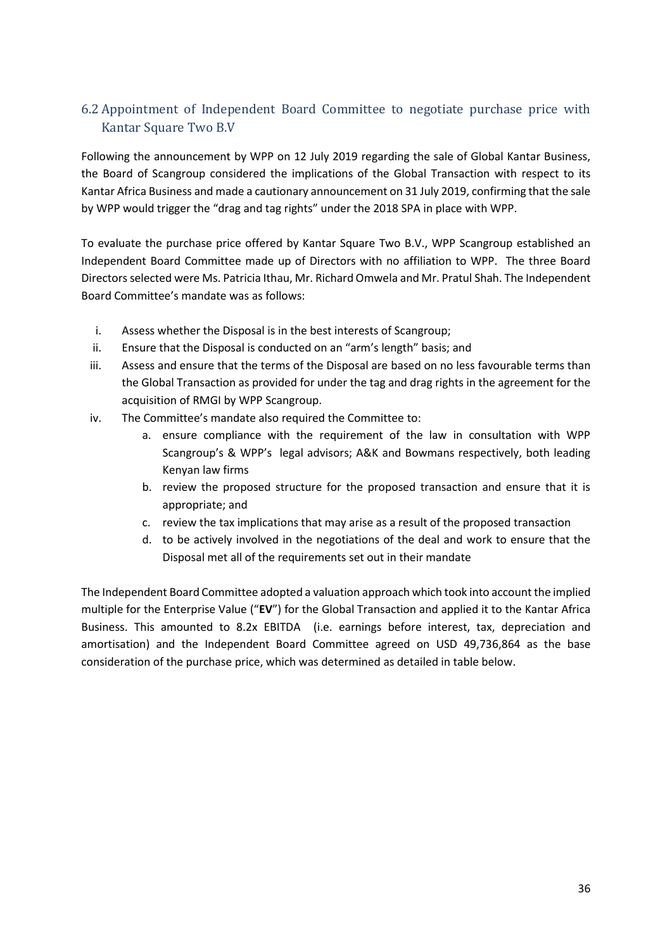## 6.2 Appointment of Independent Board Committee to negotiate purchase price with Kantar Square Two B.V

Following the announcement by WPP on 12 July 2019 regarding the sale of Global Kantar Business, the Board of Scangroup considered the implications of the Global Transaction with respect to its Kantar Africa Business and made a cautionary announcement on 31 July 2019, confirming that the sale by WPP would trigger the "drag and tag rights" under the 2018 SPA in place with WPP.

To evaluate the purchase price offered by Kantar Square Two B.V., WPP Scangroup established an Independent Board Committee made up of Directors with no affiliation to WPP. The three Board Directors selected were Ms. Patricia Ithau, Mr. Richard Omwela and Mr. Pratul Shah. The Independent Board Committee's mandate was as follows:

- i. Assess whether the Disposal is in the best interests of Scangroup;
- ii. Ensure that the Disposal is conducted on an "arm's length" basis; and
- iii. Assess and ensure that the terms of the Disposal are based on no less favourable terms than the Global Transaction as provided for under the tag and drag rights in the agreement for the acquisition of RMGI by WPP Scangroup.
- iv. The Committee's mandate also required the Committee to:
	- a. ensure compliance with the requirement of the law in consultation with WPP Scangroup's & WPP's legal advisors; A&K and Bowmans respectively, both leading Kenyan law firms
	- b. review the proposed structure for the proposed transaction and ensure that it is appropriate; and
	- c. review the tax implications that may arise as a result of the proposed transaction
	- d. to be actively involved in the negotiations of the deal and work to ensure that the Disposal met all of the requirements set out in their mandate

The Independent Board Committee adopted a valuation approach which took into account the implied multiple for the Enterprise Value ("**EV**") for the Global Transaction and applied it to the Kantar Africa Business. This amounted to 8.2x EBITDA (i.e. earnings before interest, tax, depreciation and amortisation) and the Independent Board Committee agreed on USD 49,736,864 as the base consideration of the purchase price, which was determined as detailed in table below.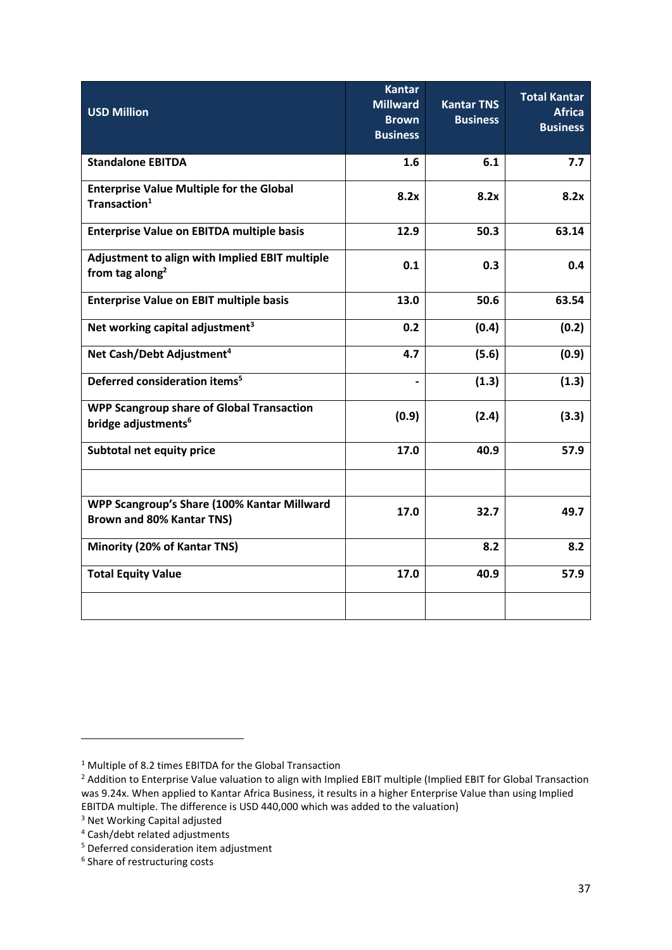| <b>USD Million</b>                                                                  | <b>Kantar</b><br><b>Millward</b><br><b>Brown</b><br><b>Business</b> | <b>Kantar TNS</b><br><b>Business</b> | <b>Total Kantar</b><br><b>Africa</b><br><b>Business</b> |
|-------------------------------------------------------------------------------------|---------------------------------------------------------------------|--------------------------------------|---------------------------------------------------------|
| <b>Standalone EBITDA</b>                                                            | $1.6\phantom{0}$                                                    | 6.1                                  | 7.7                                                     |
| <b>Enterprise Value Multiple for the Global</b><br>Transaction <sup>1</sup>         | 8.2x                                                                | 8.2x                                 | 8.2x                                                    |
| <b>Enterprise Value on EBITDA multiple basis</b>                                    | 12.9                                                                | 50.3                                 | 63.14                                                   |
| Adjustment to align with Implied EBIT multiple<br>from tag along <sup>2</sup>       | 0.1                                                                 | 0.3                                  | 0.4                                                     |
| <b>Enterprise Value on EBIT multiple basis</b>                                      | 13.0                                                                | 50.6                                 | 63.54                                                   |
| Net working capital adjustment <sup>3</sup>                                         | 0.2                                                                 | (0.4)                                | (0.2)                                                   |
| Net Cash/Debt Adjustment <sup>4</sup>                                               | 4.7                                                                 | (5.6)                                | (0.9)                                                   |
| Deferred consideration items <sup>5</sup>                                           |                                                                     | (1.3)                                | (1.3)                                                   |
| <b>WPP Scangroup share of Global Transaction</b><br>bridge adjustments <sup>6</sup> | (0.9)                                                               | (2.4)                                | (3.3)                                                   |
| Subtotal net equity price                                                           | 17.0                                                                | 40.9                                 | 57.9                                                    |
|                                                                                     |                                                                     |                                      |                                                         |
| WPP Scangroup's Share (100% Kantar Millward<br>Brown and 80% Kantar TNS)            | 17.0                                                                | 32.7                                 | 49.7                                                    |
| Minority (20% of Kantar TNS)                                                        |                                                                     | 8.2                                  | 8.2                                                     |
| <b>Total Equity Value</b>                                                           | 17.0                                                                | 40.9                                 | 57.9                                                    |
|                                                                                     |                                                                     |                                      |                                                         |

<sup>&</sup>lt;sup>1</sup> Multiple of 8.2 times EBITDA for the Global Transaction

<sup>&</sup>lt;sup>2</sup> Addition to Enterprise Value valuation to align with Implied EBIT multiple (Implied EBIT for Global Transaction was 9.24x. When applied to Kantar Africa Business, it results in a higher Enterprise Value than using Implied EBITDA multiple. The difference is USD 440,000 which was added to the valuation)

<sup>3</sup> Net Working Capital adjusted

<sup>4</sup> Cash/debt related adjustments

<sup>5</sup> Deferred consideration item adjustment

<sup>&</sup>lt;sup>6</sup> Share of restructuring costs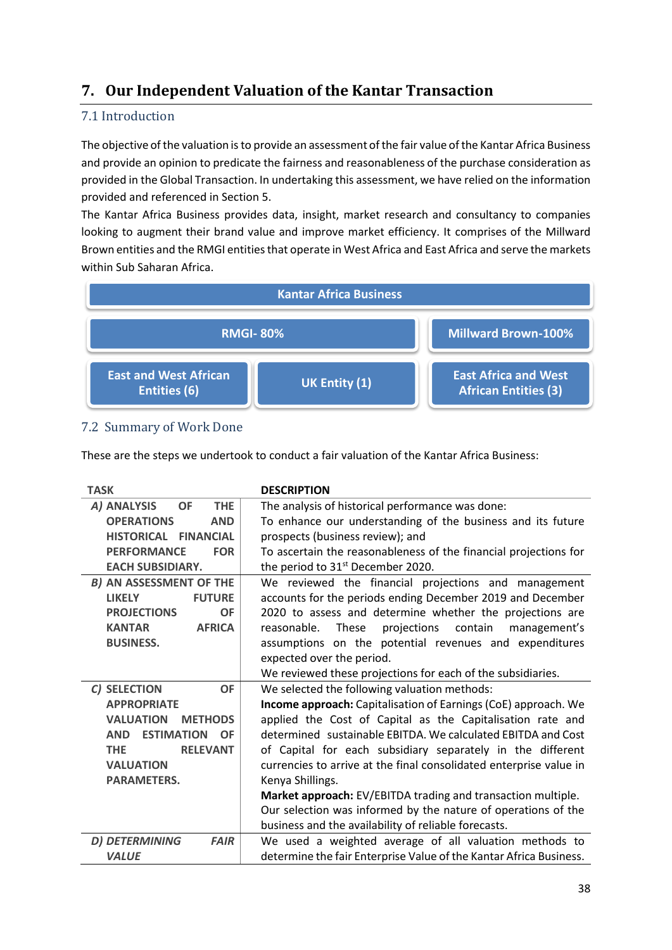# **7. Our Independent Valuation of the Kantar Transaction**

## 7.1 Introduction

The objective of the valuation is to provide an assessment of the fair value of the Kantar Africa Business and provide an opinion to predicate the fairness and reasonableness of the purchase consideration as provided in the Global Transaction. In undertaking this assessment, we have relied on the information provided and referenced in Section 5.

The Kantar Africa Business provides data, insight, market research and consultancy to companies looking to augment their brand value and improve market efficiency. It comprises of the Millward Brown entities and the RMGI entities that operate in West Africa and East Africa and serve the markets within Sub Saharan Africa.



## 7.2 Summary of Work Done

These are the steps we undertook to conduct a fair valuation of the Kantar Africa Business:

| <b>TASK</b>                                  | <b>DESCRIPTION</b>                                                 |
|----------------------------------------------|--------------------------------------------------------------------|
| <b>THE</b><br>A) ANALYSIS<br><b>OF</b>       | The analysis of historical performance was done:                   |
| <b>OPERATIONS</b><br><b>AND</b>              | To enhance our understanding of the business and its future        |
| HISTORICAL FINANCIAL                         | prospects (business review); and                                   |
| <b>FOR</b><br><b>PERFORMANCE</b>             | To ascertain the reasonableness of the financial projections for   |
| <b>EACH SUBSIDIARY.</b>                      | the period to 31 <sup>st</sup> December 2020.                      |
| <b>B) AN ASSESSMENT OF THE</b>               | We reviewed the financial projections and management               |
| <b>FUTURE</b><br><b>LIKELY</b>               | accounts for the periods ending December 2019 and December         |
| <b>PROJECTIONS</b><br><b>OF</b>              | 2020 to assess and determine whether the projections are           |
| <b>AFRICA</b><br><b>KANTAR</b>               | These<br>contain<br>reasonable.<br>projections<br>management's     |
| <b>BUSINESS.</b>                             | assumptions on the potential revenues and expenditures             |
|                                              | expected over the period.                                          |
|                                              | We reviewed these projections for each of the subsidiaries.        |
| C) SELECTION<br><b>OF</b>                    | We selected the following valuation methods:                       |
| <b>APPROPRIATE</b>                           | Income approach: Capitalisation of Earnings (CoE) approach. We     |
| <b>VALUATION</b><br><b>METHODS</b>           | applied the Cost of Capital as the Capitalisation rate and         |
| <b>ESTIMATION</b><br><b>OF</b><br><b>AND</b> | determined sustainable EBITDA. We calculated EBITDA and Cost       |
| <b>RELEVANT</b><br><b>THE</b>                | of Capital for each subsidiary separately in the different         |
| <b>VALUATION</b>                             | currencies to arrive at the final consolidated enterprise value in |
| <b>PARAMETERS.</b>                           | Kenya Shillings.                                                   |
|                                              | Market approach: EV/EBITDA trading and transaction multiple.       |
|                                              | Our selection was informed by the nature of operations of the      |
|                                              | business and the availability of reliable forecasts.               |
| D) DETERMINING<br><b>FAIR</b>                | We used a weighted average of all valuation methods to             |
| <b>VALUE</b>                                 | determine the fair Enterprise Value of the Kantar Africa Business. |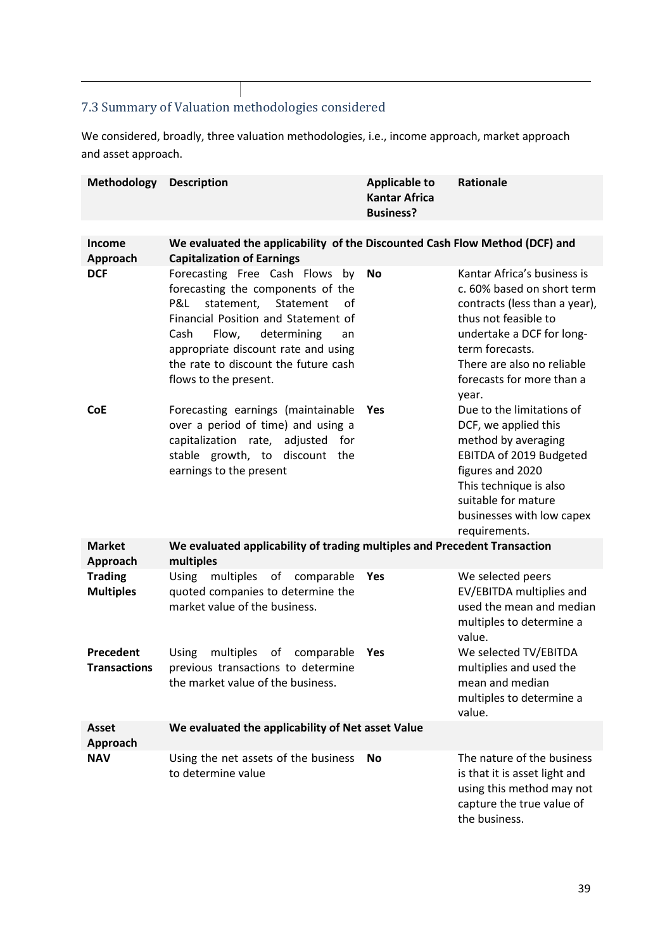# 7.3 Summary of Valuation methodologies considered

We considered, broadly, three valuation methodologies, i.e., income approach, market approach and asset approach.

| <b>Methodology</b>                 | <b>Description</b>                                                                                                                                                                                                                                                                            | <b>Applicable to</b><br><b>Kantar Africa</b><br><b>Business?</b> | <b>Rationale</b>                                                                                                                                                                                                                       |
|------------------------------------|-----------------------------------------------------------------------------------------------------------------------------------------------------------------------------------------------------------------------------------------------------------------------------------------------|------------------------------------------------------------------|----------------------------------------------------------------------------------------------------------------------------------------------------------------------------------------------------------------------------------------|
|                                    |                                                                                                                                                                                                                                                                                               |                                                                  |                                                                                                                                                                                                                                        |
| <b>Income</b><br>Approach          | We evaluated the applicability of the Discounted Cash Flow Method (DCF) and<br><b>Capitalization of Earnings</b>                                                                                                                                                                              |                                                                  |                                                                                                                                                                                                                                        |
| <b>DCF</b>                         | Forecasting Free Cash Flows by<br>forecasting the components of the<br>P&L<br>statement, Statement<br>of<br>Financial Position and Statement of<br>Flow,<br>determining<br>Cash<br>an<br>appropriate discount rate and using<br>the rate to discount the future cash<br>flows to the present. | <b>No</b>                                                        | Kantar Africa's business is<br>c. 60% based on short term<br>contracts (less than a year),<br>thus not feasible to<br>undertake a DCF for long-<br>term forecasts.<br>There are also no reliable<br>forecasts for more than a<br>year. |
| <b>CoE</b>                         | Forecasting earnings (maintainable<br>over a period of time) and using a<br>capitalization rate, adjusted for<br>stable growth, to discount the<br>earnings to the present                                                                                                                    | <b>Yes</b>                                                       | Due to the limitations of<br>DCF, we applied this<br>method by averaging<br>EBITDA of 2019 Budgeted<br>figures and 2020<br>This technique is also<br>suitable for mature<br>businesses with low capex<br>requirements.                 |
| <b>Market</b><br>Approach          | We evaluated applicability of trading multiples and Precedent Transaction<br>multiples                                                                                                                                                                                                        |                                                                  |                                                                                                                                                                                                                                        |
| <b>Trading</b><br><b>Multiples</b> | <b>Using</b><br>multiples of comparable<br>quoted companies to determine the<br>market value of the business.                                                                                                                                                                                 | Yes                                                              | We selected peers<br>EV/EBITDA multiplies and<br>used the mean and median<br>multiples to determine a<br>value.                                                                                                                        |
| Precedent<br><b>Transactions</b>   | <b>Using</b><br>multiples of comparable<br>previous transactions to determine<br>the market value of the business.                                                                                                                                                                            | Yes                                                              | We selected TV/EBITDA<br>multiplies and used the<br>mean and median<br>multiples to determine a<br>value.                                                                                                                              |
| Asset<br>Approach                  | We evaluated the applicability of Net asset Value                                                                                                                                                                                                                                             |                                                                  |                                                                                                                                                                                                                                        |
| <b>NAV</b>                         | Using the net assets of the business<br>to determine value                                                                                                                                                                                                                                    | <b>No</b>                                                        | The nature of the business<br>is that it is asset light and<br>using this method may not<br>capture the true value of<br>the business.                                                                                                 |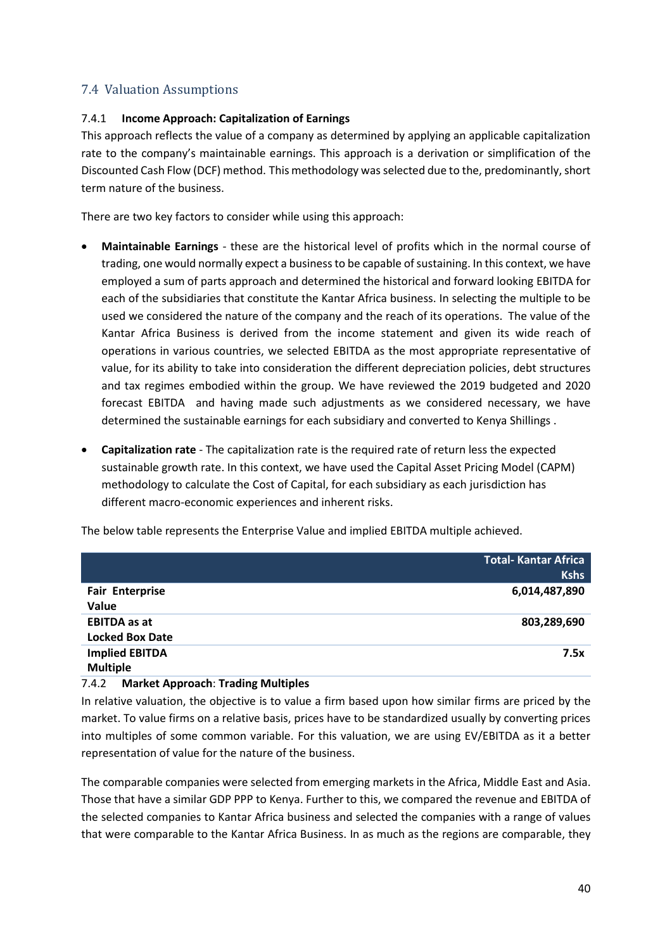## 7.4 Valuation Assumptions

#### 7.4.1 **Income Approach: Capitalization of Earnings**

This approach reflects the value of a company as determined by applying an applicable capitalization rate to the company's maintainable earnings. This approach is a derivation or simplification of the Discounted Cash Flow (DCF) method. This methodology was selected due to the, predominantly, short term nature of the business.

There are two key factors to consider while using this approach:

- **Maintainable Earnings**  these are the historical level of profits which in the normal course of trading, one would normally expect a business to be capable of sustaining. In this context, we have employed a sum of parts approach and determined the historical and forward looking EBITDA for each of the subsidiaries that constitute the Kantar Africa business. In selecting the multiple to be used we considered the nature of the company and the reach of its operations. The value of the Kantar Africa Business is derived from the income statement and given its wide reach of operations in various countries, we selected EBITDA as the most appropriate representative of value, for its ability to take into consideration the different depreciation policies, debt structures and tax regimes embodied within the group. We have reviewed the 2019 budgeted and 2020 forecast EBITDA and having made such adjustments as we considered necessary, we have determined the sustainable earnings for each subsidiary and converted to Kenya Shillings .
- **Capitalization rate**  The capitalization rate is the required rate of return less the expected sustainable growth rate. In this context, we have used the Capital Asset Pricing Model (CAPM) methodology to calculate the Cost of Capital, for each subsidiary as each jurisdiction has different macro-economic experiences and inherent risks.

The below table represents the Enterprise Value and implied EBITDA multiple achieved.

|                        | <b>Total- Kantar Africa</b> |
|------------------------|-----------------------------|
|                        | <b>Kshs</b>                 |
| <b>Fair Enterprise</b> | 6,014,487,890               |
| Value                  |                             |
| <b>EBITDA</b> as at    | 803,289,690                 |
| <b>Locked Box Date</b> |                             |
| <b>Implied EBITDA</b>  | 7.5x                        |
| <b>Multiple</b>        |                             |

#### 7.4.2 **Market Approach**: **Trading Multiples**

In relative valuation, the objective is to value a firm based upon how similar firms are priced by the market. To value firms on a relative basis, prices have to be standardized usually by converting prices into multiples of some common variable. For this valuation, we are using EV/EBITDA as it a better representation of value for the nature of the business.

The comparable companies were selected from emerging markets in the Africa, Middle East and Asia. Those that have a similar GDP PPP to Kenya. Further to this, we compared the revenue and EBITDA of the selected companies to Kantar Africa business and selected the companies with a range of values that were comparable to the Kantar Africa Business. In as much as the regions are comparable, they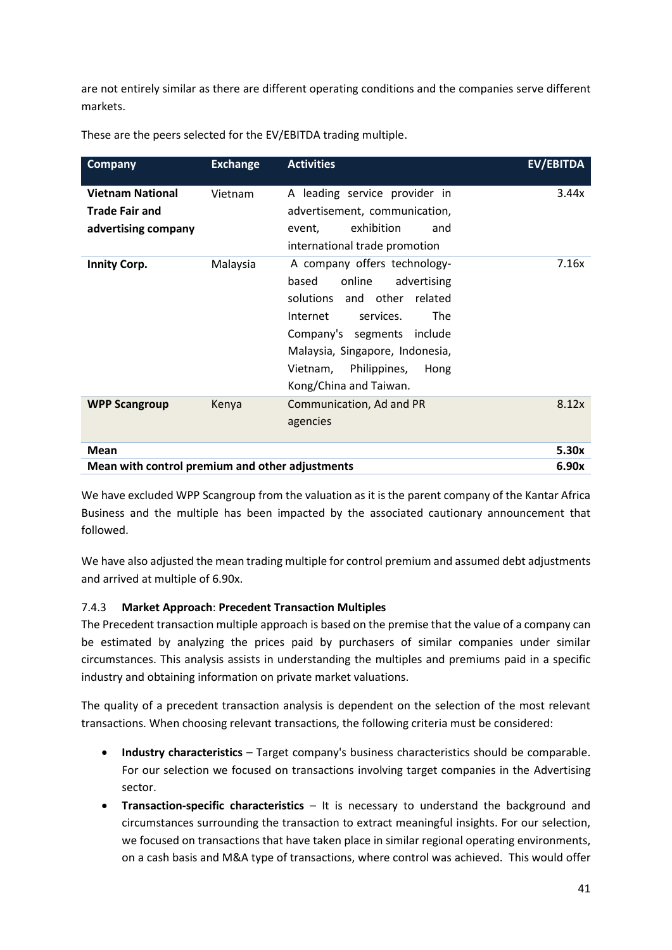are not entirely similar as there are different operating conditions and the companies serve different markets.

| <b>Company</b>                                                          | <b>Exchange</b> | <b>Activities</b>                                                                                                                                                                                                                                                   | EV/EBITDA |
|-------------------------------------------------------------------------|-----------------|---------------------------------------------------------------------------------------------------------------------------------------------------------------------------------------------------------------------------------------------------------------------|-----------|
| <b>Vietnam National</b><br><b>Trade Fair and</b><br>advertising company | Vietnam         | A leading service provider in<br>advertisement, communication,<br>exhibition<br>and<br>event,<br>international trade promotion                                                                                                                                      | 3.44x     |
| <b>Innity Corp.</b>                                                     | Malaysia        | A company offers technology-<br>online<br>based<br>advertising<br>solutions and other related<br>services.<br><b>The</b><br>Internet<br>Company's segments include<br>Malaysia, Singapore, Indonesia,<br>Vietnam,<br>Philippines,<br>Hong<br>Kong/China and Taiwan. | 7.16x     |
| <b>WPP Scangroup</b>                                                    | Kenya           | Communication, Ad and PR<br>agencies                                                                                                                                                                                                                                | 8.12x     |
| Mean                                                                    |                 |                                                                                                                                                                                                                                                                     | 5.30x     |
| Mean with control premium and other adjustments                         |                 |                                                                                                                                                                                                                                                                     | 6.90x     |

These are the peers selected for the EV/EBITDA trading multiple.

We have excluded WPP Scangroup from the valuation as it is the parent company of the Kantar Africa Business and the multiple has been impacted by the associated cautionary announcement that followed.

We have also adjusted the mean trading multiple for control premium and assumed debt adjustments and arrived at multiple of 6.90x.

## 7.4.3 **Market Approach**: **Precedent Transaction Multiples**

The Precedent transaction multiple approach is based on the premise that the value of a company can be estimated by analyzing the prices paid by purchasers of similar companies under similar circumstances. This analysis assists in understanding the multiples and premiums paid in a specific industry and obtaining information on private market valuations.

The quality of a precedent transaction analysis is dependent on the selection of the most relevant transactions. When choosing relevant transactions, the following criteria must be considered:

- **Industry characteristics** Target company's business characteristics should be comparable. For our selection we focused on transactions involving target companies in the Advertising sector.
- **Transaction-specific characteristics** It is necessary to understand the background and circumstances surrounding the transaction to extract meaningful insights. For our selection, we focused on transactions that have taken place in similar regional operating environments, on a cash basis and M&A type of transactions, where control was achieved. This would offer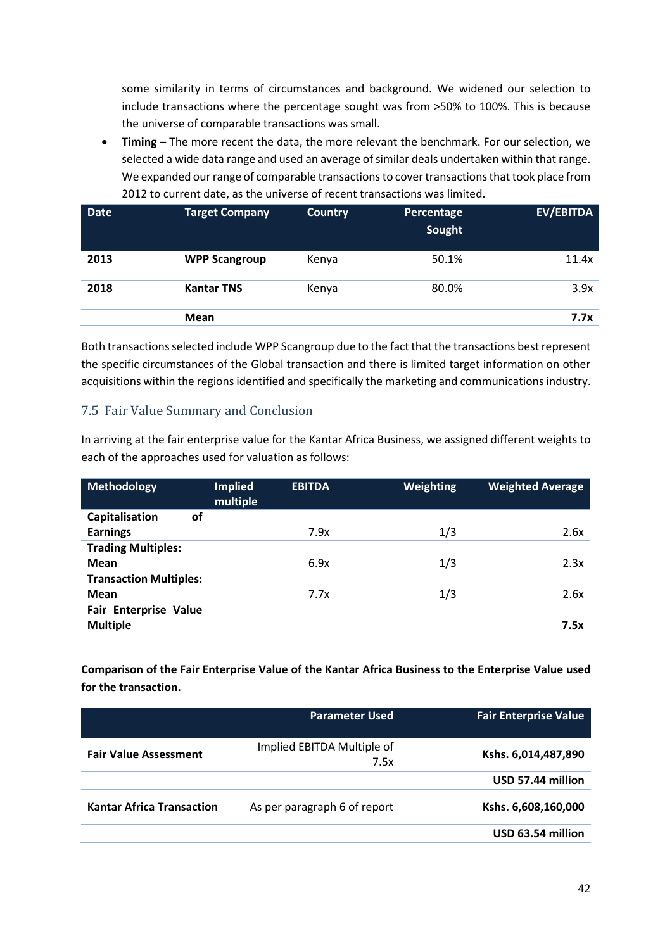some similarity in terms of circumstances and background. We widened our selection to include transactions where the percentage sought was from >50% to 100%. This is because the universe of comparable transactions was small.

 **Timing** – The more recent the data, the more relevant the benchmark. For our selection, we selected a wide data range and used an average of similar deals undertaken within that range. We expanded our range of comparable transactions to cover transactions that took place from 2012 to current date, as the universe of recent transactions was limited.

| <b>Date</b> | <b>Target Company</b> | <b>Country</b> | Percentage<br>Sought | <b>EV/EBITDA</b> |
|-------------|-----------------------|----------------|----------------------|------------------|
| 2013        | <b>WPP Scangroup</b>  | Kenya          | 50.1%                | 11.4x            |
| 2018        | <b>Kantar TNS</b>     | Kenya          | 80.0%                | 3.9x             |
|             | <b>Mean</b>           |                |                      | 7.7x             |

Both transactions selected include WPP Scangroup due to the fact that the transactions best represent the specific circumstances of the Global transaction and there is limited target information on other acquisitions within the regions identified and specifically the marketing and communications industry.

## 7.5 Fair Value Summary and Conclusion

In arriving at the fair enterprise value for the Kantar Africa Business, we assigned different weights to each of the approaches used for valuation as follows:

| <b>Methodology</b>            | <b>Implied</b><br>multiple | <b>EBITDA</b> | <b>Weighting</b> | <b>Weighted Average</b> |
|-------------------------------|----------------------------|---------------|------------------|-------------------------|
| Capitalisation<br>of          |                            |               |                  |                         |
| <b>Earnings</b>               |                            | 7.9x          | 1/3              | 2.6x                    |
| <b>Trading Multiples:</b>     |                            |               |                  |                         |
| Mean                          |                            | 6.9x          | 1/3              | 2.3x                    |
| <b>Transaction Multiples:</b> |                            |               |                  |                         |
| Mean                          |                            | 7.7x          | 1/3              | 2.6x                    |
| Fair Enterprise Value         |                            |               |                  |                         |
| <b>Multiple</b>               |                            |               |                  | 7.5x                    |

**Comparison of the Fair Enterprise Value of the Kantar Africa Business to the Enterprise Value used for the transaction.** 

|                                  | <b>Parameter Used</b>              | <b>Fair Enterprise Value</b> |
|----------------------------------|------------------------------------|------------------------------|
| <b>Fair Value Assessment</b>     | Implied EBITDA Multiple of<br>7.5x | Kshs. 6,014,487,890          |
|                                  |                                    | USD 57.44 million            |
| <b>Kantar Africa Transaction</b> | As per paragraph 6 of report       | Kshs. 6,608,160,000          |
|                                  |                                    | USD 63.54 million            |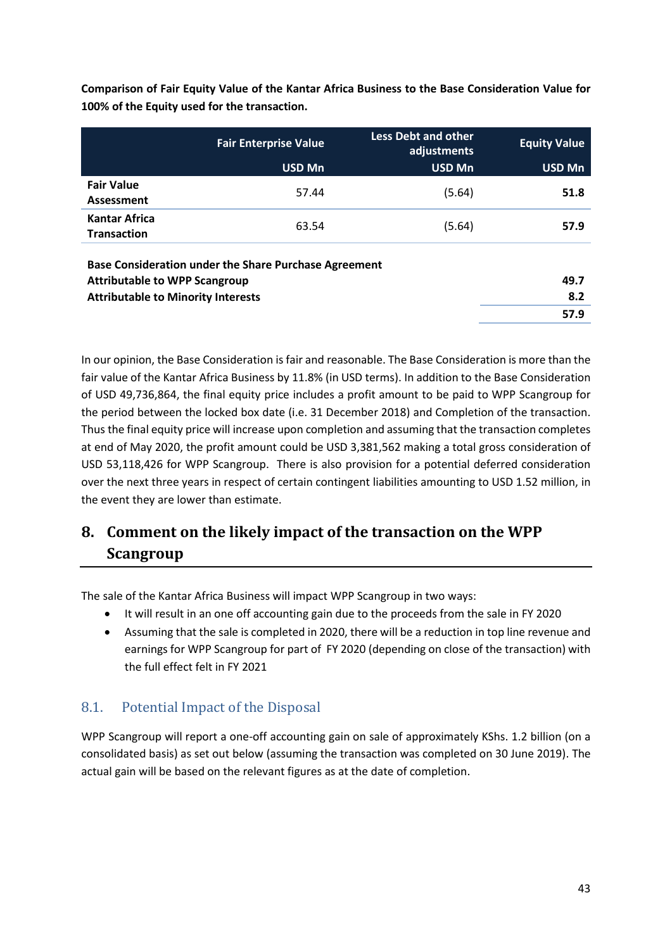|                                            | <b>Fair Enterprise Value</b><br><b>USD Mn</b> | <b>Less Debt and other</b><br>adjustments<br><b>USD Mn</b> | <b>Equity Value</b><br><b>USD Mn</b> |
|--------------------------------------------|-----------------------------------------------|------------------------------------------------------------|--------------------------------------|
| <b>Fair Value</b><br>Assessment            | 57.44                                         | (5.64)                                                     | 51.8                                 |
| <b>Kantar Africa</b><br><b>Transaction</b> | 63.54                                         | (5.64)                                                     | 57.9                                 |
|                                            |                                               |                                                            |                                      |

**Comparison of Fair Equity Value of the Kantar Africa Business to the Base Consideration Value for 100% of the Equity used for the transaction.**

| <b>Base Consideration under the Share Purchase Agreement</b> |      |
|--------------------------------------------------------------|------|
| Attributable to WPP Scangroup                                | 49.7 |
| <b>Attributable to Minority Interests</b>                    | 8.2  |
|                                                              | 57.9 |

In our opinion, the Base Consideration is fair and reasonable. The Base Consideration is more than the fair value of the Kantar Africa Business by 11.8% (in USD terms). In addition to the Base Consideration of USD 49,736,864, the final equity price includes a profit amount to be paid to WPP Scangroup for the period between the locked box date (i.e. 31 December 2018) and Completion of the transaction. Thus the final equity price will increase upon completion and assuming that the transaction completes at end of May 2020, the profit amount could be USD 3,381,562 making a total gross consideration of USD 53,118,426 for WPP Scangroup. There is also provision for a potential deferred consideration over the next three years in respect of certain contingent liabilities amounting to USD 1.52 million, in the event they are lower than estimate.

# **8. Comment on the likely impact of the transaction on the WPP Scangroup**

The sale of the Kantar Africa Business will impact WPP Scangroup in two ways:

- It will result in an one off accounting gain due to the proceeds from the sale in FY 2020
- Assuming that the sale is completed in 2020, there will be a reduction in top line revenue and earnings for WPP Scangroup for part of FY 2020 (depending on close of the transaction) with the full effect felt in FY 2021

## 8.1. Potential Impact of the Disposal

WPP Scangroup will report a one-off accounting gain on sale of approximately KShs. 1.2 billion (on a consolidated basis) as set out below (assuming the transaction was completed on 30 June 2019). The actual gain will be based on the relevant figures as at the date of completion.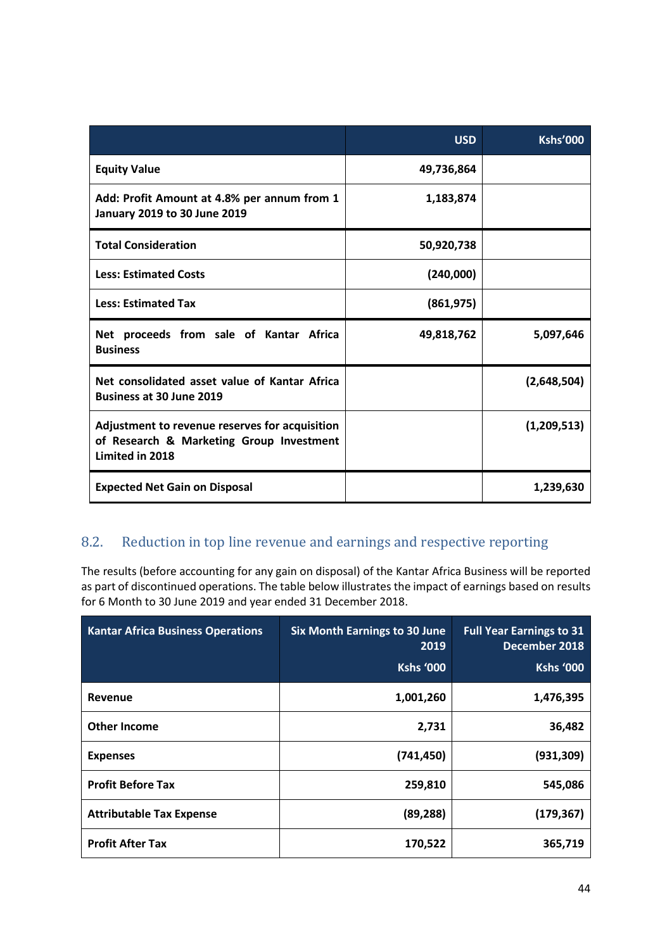|                                                                                                               | <b>USD</b> | <b>Kshs'000</b> |
|---------------------------------------------------------------------------------------------------------------|------------|-----------------|
| <b>Equity Value</b>                                                                                           | 49,736,864 |                 |
| Add: Profit Amount at 4.8% per annum from 1<br>January 2019 to 30 June 2019                                   | 1,183,874  |                 |
| <b>Total Consideration</b>                                                                                    | 50,920,738 |                 |
| <b>Less: Estimated Costs</b>                                                                                  | (240,000)  |                 |
| <b>Less: Estimated Tax</b>                                                                                    | (861, 975) |                 |
| Net proceeds from sale of Kantar Africa<br><b>Business</b>                                                    | 49,818,762 | 5,097,646       |
| Net consolidated asset value of Kantar Africa<br><b>Business at 30 June 2019</b>                              |            | (2,648,504)     |
| Adjustment to revenue reserves for acquisition<br>of Research & Marketing Group Investment<br>Limited in 2018 |            | (1,209,513)     |
| <b>Expected Net Gain on Disposal</b>                                                                          |            | 1,239,630       |

# 8.2. Reduction in top line revenue and earnings and respective reporting

The results (before accounting for any gain on disposal) of the Kantar Africa Business will be reported as part of discontinued operations. The table below illustrates the impact of earnings based on results for 6 Month to 30 June 2019 and year ended 31 December 2018.

| <b>Kantar Africa Business Operations</b> | <b>Six Month Earnings to 30 June</b><br>2019<br>Kshs '000 | <b>Full Year Earnings to 31</b><br>December 2018<br>Kshs '000 |
|------------------------------------------|-----------------------------------------------------------|---------------------------------------------------------------|
| Revenue                                  | 1,001,260                                                 | 1,476,395                                                     |
| Other Income                             | 2,731                                                     | 36,482                                                        |
| <b>Expenses</b>                          | (741, 450)                                                | (931, 309)                                                    |
| <b>Profit Before Tax</b>                 | 259,810                                                   | 545,086                                                       |
| <b>Attributable Tax Expense</b>          | (89, 288)                                                 | (179, 367)                                                    |
| <b>Profit After Tax</b>                  | 170,522                                                   | 365,719                                                       |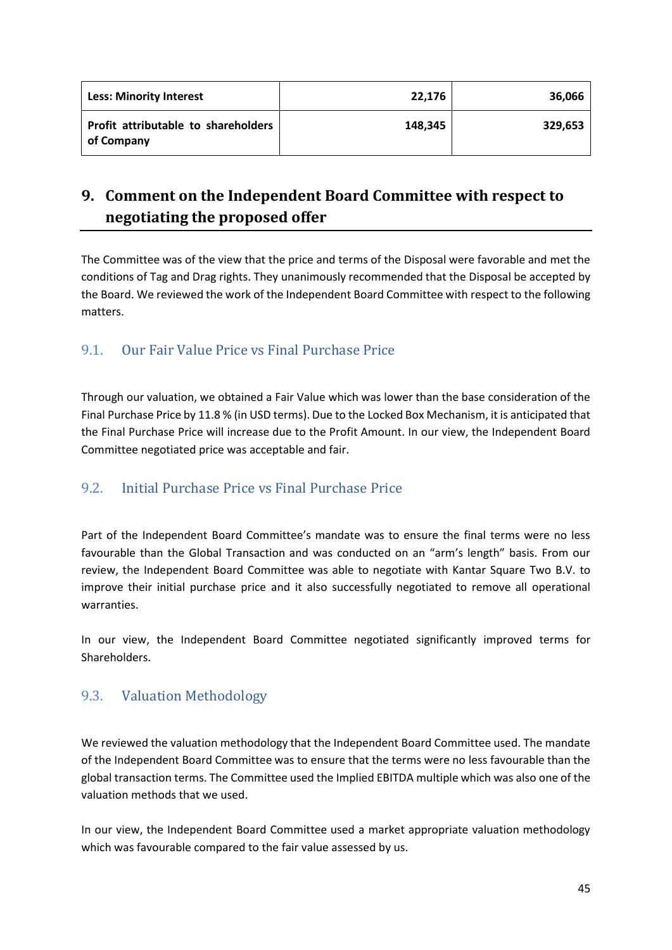| <b>Less: Minority Interest</b>                    | 22,176  | 36,066  |
|---------------------------------------------------|---------|---------|
| Profit attributable to shareholders<br>of Company | 148,345 | 329,653 |

# **9. Comment on the Independent Board Committee with respect to negotiating the proposed offer**

The Committee was of the view that the price and terms of the Disposal were favorable and met the conditions of Tag and Drag rights. They unanimously recommended that the Disposal be accepted by the Board. We reviewed the work of the Independent Board Committee with respect to the following matters.

## 9.1. Our Fair Value Price vs Final Purchase Price

Through our valuation, we obtained a Fair Value which was lower than the base consideration of the Final Purchase Price by 11.8 % (in USD terms). Due to the Locked Box Mechanism, it is anticipated that the Final Purchase Price will increase due to the Profit Amount. In our view, the Independent Board Committee negotiated price was acceptable and fair.

## 9.2. Initial Purchase Price vs Final Purchase Price

Part of the Independent Board Committee's mandate was to ensure the final terms were no less favourable than the Global Transaction and was conducted on an "arm's length" basis. From our review, the Independent Board Committee was able to negotiate with Kantar Square Two B.V. to improve their initial purchase price and it also successfully negotiated to remove all operational warranties.

In our view, the Independent Board Committee negotiated significantly improved terms for Shareholders.

## 9.3. Valuation Methodology

We reviewed the valuation methodology that the Independent Board Committee used. The mandate of the Independent Board Committee was to ensure that the terms were no less favourable than the global transaction terms. The Committee used the Implied EBITDA multiple which was also one of the valuation methods that we used.

In our view, the Independent Board Committee used a market appropriate valuation methodology which was favourable compared to the fair value assessed by us.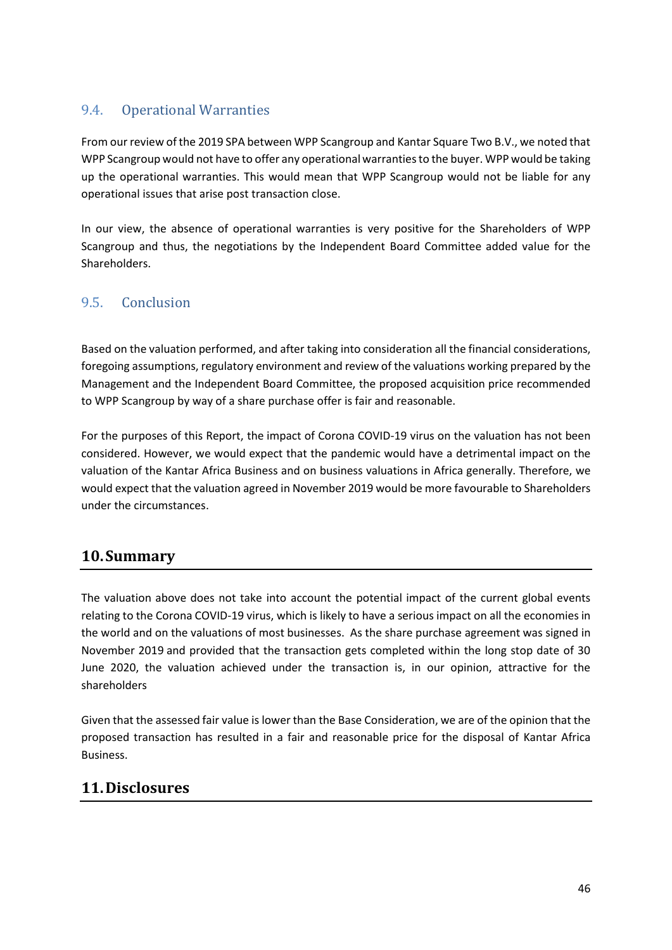## 9.4. Operational Warranties

From our review of the 2019 SPA between WPP Scangroup and Kantar Square Two B.V., we noted that WPP Scangroup would not have to offer any operational warranties to the buyer. WPP would be taking up the operational warranties. This would mean that WPP Scangroup would not be liable for any operational issues that arise post transaction close.

In our view, the absence of operational warranties is very positive for the Shareholders of WPP Scangroup and thus, the negotiations by the Independent Board Committee added value for the Shareholders.

## 9.5. Conclusion

Based on the valuation performed, and after taking into consideration all the financial considerations, foregoing assumptions, regulatory environment and review of the valuations working prepared by the Management and the Independent Board Committee, the proposed acquisition price recommended to WPP Scangroup by way of a share purchase offer is fair and reasonable.

For the purposes of this Report, the impact of Corona COVID-19 virus on the valuation has not been considered. However, we would expect that the pandemic would have a detrimental impact on the valuation of the Kantar Africa Business and on business valuations in Africa generally. Therefore, we would expect that the valuation agreed in November 2019 would be more favourable to Shareholders under the circumstances.

# **10.Summary**

The valuation above does not take into account the potential impact of the current global events relating to the Corona COVID-19 virus, which is likely to have a serious impact on all the economies in the world and on the valuations of most businesses. As the share purchase agreement was signed in November 2019 and provided that the transaction gets completed within the long stop date of 30 June 2020, the valuation achieved under the transaction is, in our opinion, attractive for the shareholders

Given that the assessed fair value is lower than the Base Consideration, we are of the opinion that the proposed transaction has resulted in a fair and reasonable price for the disposal of Kantar Africa Business.

# **11.Disclosures**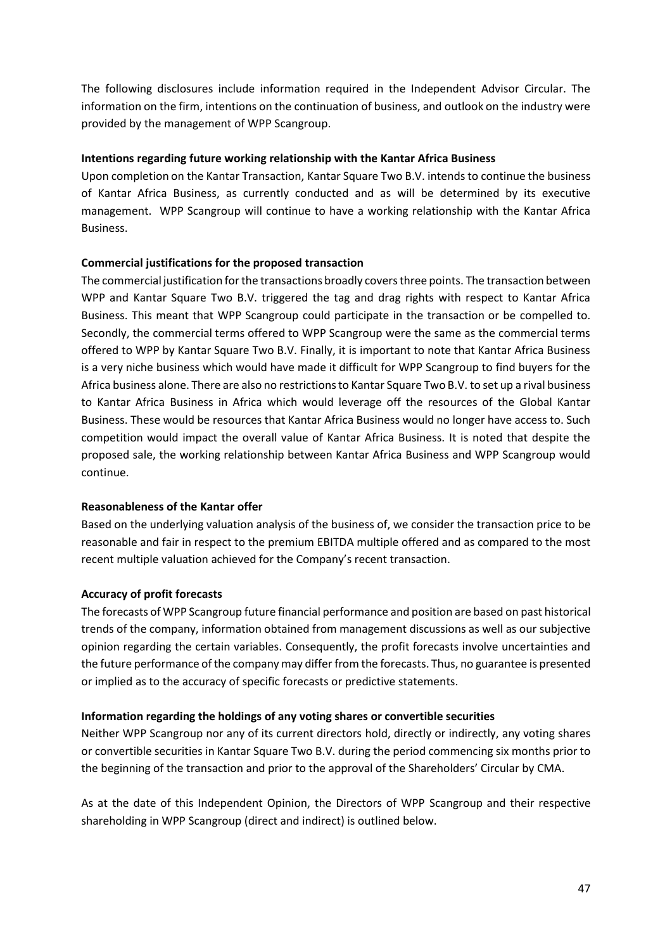The following disclosures include information required in the Independent Advisor Circular. The information on the firm, intentions on the continuation of business, and outlook on the industry were provided by the management of WPP Scangroup.

#### **Intentions regarding future working relationship with the Kantar Africa Business**

Upon completion on the Kantar Transaction, Kantar Square Two B.V. intends to continue the business of Kantar Africa Business, as currently conducted and as will be determined by its executive management. WPP Scangroup will continue to have a working relationship with the Kantar Africa Business.

#### **Commercial justifications for the proposed transaction**

The commercial justification for the transactions broadly covers three points. The transaction between WPP and Kantar Square Two B.V. triggered the tag and drag rights with respect to Kantar Africa Business. This meant that WPP Scangroup could participate in the transaction or be compelled to. Secondly, the commercial terms offered to WPP Scangroup were the same as the commercial terms offered to WPP by Kantar Square Two B.V. Finally, it is important to note that Kantar Africa Business is a very niche business which would have made it difficult for WPP Scangroup to find buyers for the Africa business alone. There are also no restrictions to Kantar Square Two B.V. to set up a rival business to Kantar Africa Business in Africa which would leverage off the resources of the Global Kantar Business. These would be resources that Kantar Africa Business would no longer have access to. Such competition would impact the overall value of Kantar Africa Business. It is noted that despite the proposed sale, the working relationship between Kantar Africa Business and WPP Scangroup would continue.

#### **Reasonableness of the Kantar offer**

Based on the underlying valuation analysis of the business of, we consider the transaction price to be reasonable and fair in respect to the premium EBITDA multiple offered and as compared to the most recent multiple valuation achieved for the Company's recent transaction.

### **Accuracy of profit forecasts**

The forecasts of WPP Scangroup future financial performance and position are based on past historical trends of the company, information obtained from management discussions as well as our subjective opinion regarding the certain variables. Consequently, the profit forecasts involve uncertainties and the future performance of the company may differ from the forecasts. Thus, no guarantee is presented or implied as to the accuracy of specific forecasts or predictive statements.

#### **Information regarding the holdings of any voting shares or convertible securities**

Neither WPP Scangroup nor any of its current directors hold, directly or indirectly, any voting shares or convertible securities in Kantar Square Two B.V. during the period commencing six months prior to the beginning of the transaction and prior to the approval of the Shareholders' Circular by CMA.

As at the date of this Independent Opinion, the Directors of WPP Scangroup and their respective shareholding in WPP Scangroup (direct and indirect) is outlined below.